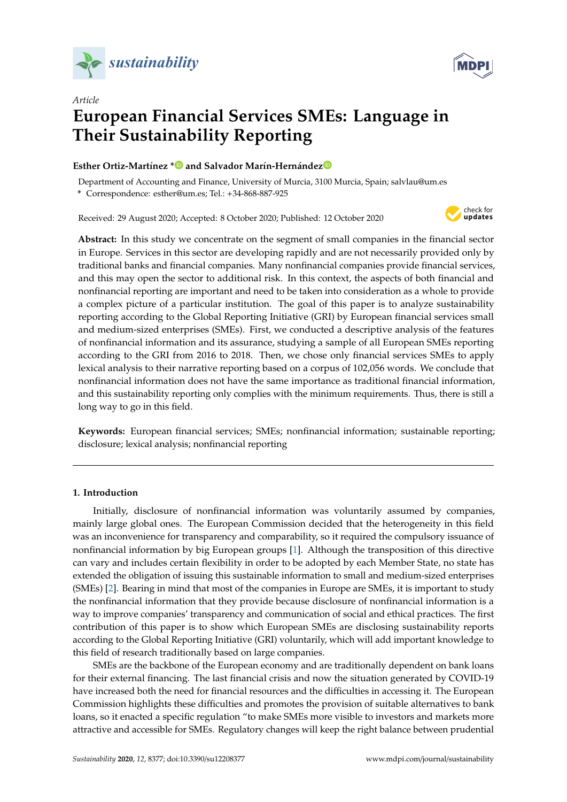



# *Article* **European Financial Services SMEs: Language in Their Sustainability Reporting**

# **Esther Ortiz-Martínez [\\*](https://orcid.org/0000-0002-9693-2106) and Salvador Marín-Hernánde[z](https://orcid.org/0000-0001-9902-1941)**

Department of Accounting and Finance, University of Murcia, 3100 Murcia, Spain; salvlau@um.es **\*** Correspondence: esther@um.es; Tel.: +34-868-887-925

Received: 29 August 2020; Accepted: 8 October 2020; Published: 12 October 2020



**Abstract:** In this study we concentrate on the segment of small companies in the financial sector in Europe. Services in this sector are developing rapidly and are not necessarily provided only by traditional banks and financial companies. Many nonfinancial companies provide financial services, and this may open the sector to additional risk. In this context, the aspects of both financial and nonfinancial reporting are important and need to be taken into consideration as a whole to provide a complex picture of a particular institution. The goal of this paper is to analyze sustainability reporting according to the Global Reporting Initiative (GRI) by European financial services small and medium-sized enterprises (SMEs). First, we conducted a descriptive analysis of the features of nonfinancial information and its assurance, studying a sample of all European SMEs reporting according to the GRI from 2016 to 2018. Then, we chose only financial services SMEs to apply lexical analysis to their narrative reporting based on a corpus of 102,056 words. We conclude that nonfinancial information does not have the same importance as traditional financial information, and this sustainability reporting only complies with the minimum requirements. Thus, there is still a long way to go in this field.

**Keywords:** European financial services; SMEs; nonfinancial information; sustainable reporting; disclosure; lexical analysis; nonfinancial reporting

# **1. Introduction**

Initially, disclosure of nonfinancial information was voluntarily assumed by companies, mainly large global ones. The European Commission decided that the heterogeneity in this field was an inconvenience for transparency and comparability, so it required the compulsory issuance of nonfinancial information by big European groups [\[1\]](#page-16-0). Although the transposition of this directive can vary and includes certain flexibility in order to be adopted by each Member State, no state has extended the obligation of issuing this sustainable information to small and medium-sized enterprises (SMEs) [\[2\]](#page-16-1). Bearing in mind that most of the companies in Europe are SMEs, it is important to study the nonfinancial information that they provide because disclosure of nonfinancial information is a way to improve companies' transparency and communication of social and ethical practices. The first contribution of this paper is to show which European SMEs are disclosing sustainability reports according to the Global Reporting Initiative (GRI) voluntarily, which will add important knowledge to this field of research traditionally based on large companies.

SMEs are the backbone of the European economy and are traditionally dependent on bank loans for their external financing. The last financial crisis and now the situation generated by COVID-19 have increased both the need for financial resources and the difficulties in accessing it. The European Commission highlights these difficulties and promotes the provision of suitable alternatives to bank loans, so it enacted a specific regulation "to make SMEs more visible to investors and markets more attractive and accessible for SMEs. Regulatory changes will keep the right balance between prudential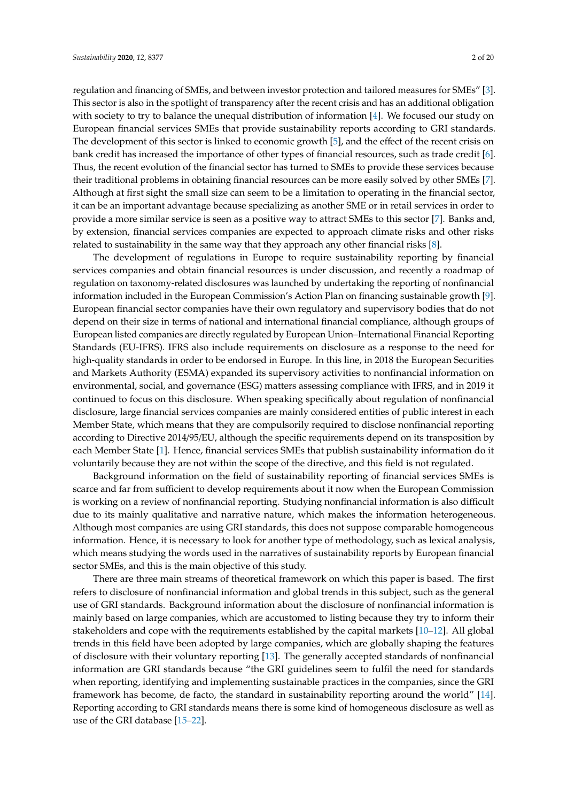regulation and financing of SMEs, and between investor protection and tailored measures for SMEs" [\[3\]](#page-16-2). This sector is also in the spotlight of transparency after the recent crisis and has an additional obligation with society to try to balance the unequal distribution of information [\[4\]](#page-16-3). We focused our study on European financial services SMEs that provide sustainability reports according to GRI standards. The development of this sector is linked to economic growth [\[5\]](#page-16-4), and the effect of the recent crisis on bank credit has increased the importance of other types of financial resources, such as trade credit [\[6\]](#page-16-5). Thus, the recent evolution of the financial sector has turned to SMEs to provide these services because their traditional problems in obtaining financial resources can be more easily solved by other SMEs [\[7\]](#page-16-6). Although at first sight the small size can seem to be a limitation to operating in the financial sector, it can be an important advantage because specializing as another SME or in retail services in order to provide a more similar service is seen as a positive way to attract SMEs to this sector [\[7\]](#page-16-6). Banks and, by extension, financial services companies are expected to approach climate risks and other risks related to sustainability in the same way that they approach any other financial risks [\[8\]](#page-16-7).

The development of regulations in Europe to require sustainability reporting by financial services companies and obtain financial resources is under discussion, and recently a roadmap of regulation on taxonomy-related disclosures was launched by undertaking the reporting of nonfinancial information included in the European Commission's Action Plan on financing sustainable growth [\[9\]](#page-16-8). European financial sector companies have their own regulatory and supervisory bodies that do not depend on their size in terms of national and international financial compliance, although groups of European listed companies are directly regulated by European Union–International Financial Reporting Standards (EU-IFRS). IFRS also include requirements on disclosure as a response to the need for high-quality standards in order to be endorsed in Europe. In this line, in 2018 the European Securities and Markets Authority (ESMA) expanded its supervisory activities to nonfinancial information on environmental, social, and governance (ESG) matters assessing compliance with IFRS, and in 2019 it continued to focus on this disclosure. When speaking specifically about regulation of nonfinancial disclosure, large financial services companies are mainly considered entities of public interest in each Member State, which means that they are compulsorily required to disclose nonfinancial reporting according to Directive 2014/95/EU, although the specific requirements depend on its transposition by each Member State [\[1\]](#page-16-0). Hence, financial services SMEs that publish sustainability information do it voluntarily because they are not within the scope of the directive, and this field is not regulated.

Background information on the field of sustainability reporting of financial services SMEs is scarce and far from sufficient to develop requirements about it now when the European Commission is working on a review of nonfinancial reporting. Studying nonfinancial information is also difficult due to its mainly qualitative and narrative nature, which makes the information heterogeneous. Although most companies are using GRI standards, this does not suppose comparable homogeneous information. Hence, it is necessary to look for another type of methodology, such as lexical analysis, which means studying the words used in the narratives of sustainability reports by European financial sector SMEs, and this is the main objective of this study.

There are three main streams of theoretical framework on which this paper is based. The first refers to disclosure of nonfinancial information and global trends in this subject, such as the general use of GRI standards. Background information about the disclosure of nonfinancial information is mainly based on large companies, which are accustomed to listing because they try to inform their stakeholders and cope with the requirements established by the capital markets [\[10–](#page-16-9)[12\]](#page-16-10). All global trends in this field have been adopted by large companies, which are globally shaping the features of disclosure with their voluntary reporting [\[13\]](#page-16-11). The generally accepted standards of nonfinancial information are GRI standards because "the GRI guidelines seem to fulfil the need for standards when reporting, identifying and implementing sustainable practices in the companies, since the GRI framework has become, de facto, the standard in sustainability reporting around the world" [\[14\]](#page-16-12). Reporting according to GRI standards means there is some kind of homogeneous disclosure as well as use of the GRI database [\[15](#page-16-13)[–22\]](#page-17-0).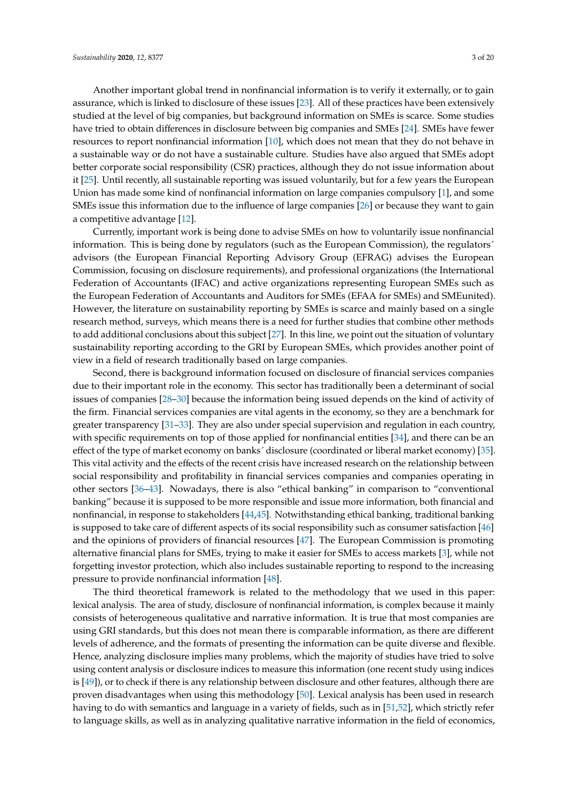Another important global trend in nonfinancial information is to verify it externally, or to gain assurance, which is linked to disclosure of these issues [\[23\]](#page-17-1). All of these practices have been extensively studied at the level of big companies, but background information on SMEs is scarce. Some studies have tried to obtain differences in disclosure between big companies and SMEs [\[24\]](#page-17-2). SMEs have fewer resources to report nonfinancial information [\[10\]](#page-16-9), which does not mean that they do not behave in a sustainable way or do not have a sustainable culture. Studies have also argued that SMEs adopt better corporate social responsibility (CSR) practices, although they do not issue information about it [\[25\]](#page-17-3). Until recently, all sustainable reporting was issued voluntarily, but for a few years the European Union has made some kind of nonfinancial information on large companies compulsory [\[1\]](#page-16-0), and some SMEs issue this information due to the influence of large companies [\[26\]](#page-17-4) or because they want to gain a competitive advantage [\[12\]](#page-16-10).

Currently, important work is being done to advise SMEs on how to voluntarily issue nonfinancial information. This is being done by regulators (such as the European Commission), the regulators´ advisors (the European Financial Reporting Advisory Group (EFRAG) advises the European Commission, focusing on disclosure requirements), and professional organizations (the International Federation of Accountants (IFAC) and active organizations representing European SMEs such as the European Federation of Accountants and Auditors for SMEs (EFAA for SMEs) and SMEunited). However, the literature on sustainability reporting by SMEs is scarce and mainly based on a single research method, surveys, which means there is a need for further studies that combine other methods to add additional conclusions about this subject [\[27\]](#page-17-5). In this line, we point out the situation of voluntary sustainability reporting according to the GRI by European SMEs, which provides another point of view in a field of research traditionally based on large companies.

Second, there is background information focused on disclosure of financial services companies due to their important role in the economy. This sector has traditionally been a determinant of social issues of companies [\[28–](#page-17-6)[30\]](#page-17-7) because the information being issued depends on the kind of activity of the firm. Financial services companies are vital agents in the economy, so they are a benchmark for greater transparency [\[31](#page-17-8)[–33\]](#page-17-9). They are also under special supervision and regulation in each country, with specific requirements on top of those applied for nonfinancial entities [\[34\]](#page-17-10), and there can be an effect of the type of market economy on banks´ disclosure (coordinated or liberal market economy) [\[35\]](#page-17-11). This vital activity and the effects of the recent crisis have increased research on the relationship between social responsibility and profitability in financial services companies and companies operating in other sectors [\[36](#page-17-12)[–43\]](#page-18-0). Nowadays, there is also "ethical banking" in comparison to "conventional banking" because it is supposed to be more responsible and issue more information, both financial and nonfinancial, in response to stakeholders [\[44](#page-18-1)[,45\]](#page-18-2). Notwithstanding ethical banking, traditional banking is supposed to take care of different aspects of its social responsibility such as consumer satisfaction [\[46\]](#page-18-3) and the opinions of providers of financial resources [\[47\]](#page-18-4). The European Commission is promoting alternative financial plans for SMEs, trying to make it easier for SMEs to access markets [\[3\]](#page-16-2), while not forgetting investor protection, which also includes sustainable reporting to respond to the increasing pressure to provide nonfinancial information [\[48\]](#page-18-5).

The third theoretical framework is related to the methodology that we used in this paper: lexical analysis. The area of study, disclosure of nonfinancial information, is complex because it mainly consists of heterogeneous qualitative and narrative information. It is true that most companies are using GRI standards, but this does not mean there is comparable information, as there are different levels of adherence, and the formats of presenting the information can be quite diverse and flexible. Hence, analyzing disclosure implies many problems, which the majority of studies have tried to solve using content analysis or disclosure indices to measure this information (one recent study using indices is [\[49\]](#page-18-6)), or to check if there is any relationship between disclosure and other features, although there are proven disadvantages when using this methodology [\[50\]](#page-18-7). Lexical analysis has been used in research having to do with semantics and language in a variety of fields, such as in [\[51,](#page-18-8)[52\]](#page-18-9), which strictly refer to language skills, as well as in analyzing qualitative narrative information in the field of economics,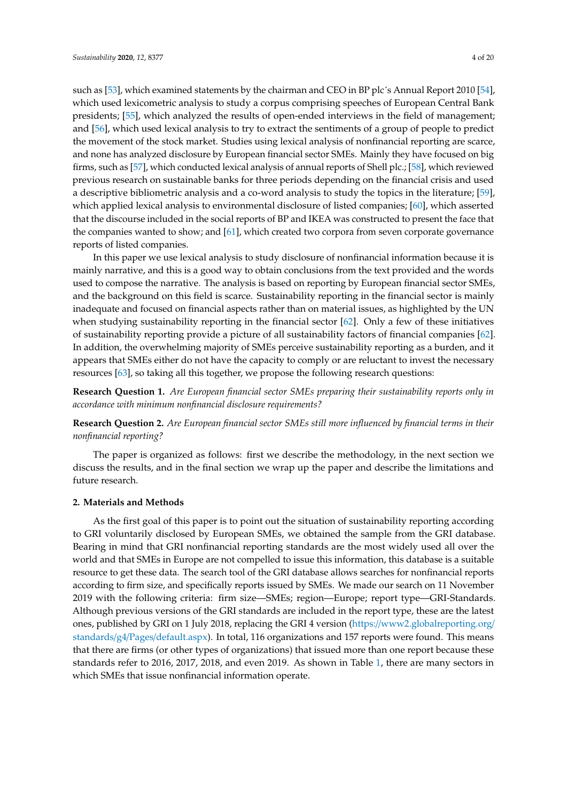such as [\[53\]](#page-18-10), which examined statements by the chairman and CEO in BP plc´s Annual Report 2010 [\[54\]](#page-18-11), which used lexicometric analysis to study a corpus comprising speeches of European Central Bank presidents; [\[55\]](#page-18-12), which analyzed the results of open-ended interviews in the field of management; and [\[56\]](#page-18-13), which used lexical analysis to try to extract the sentiments of a group of people to predict the movement of the stock market. Studies using lexical analysis of nonfinancial reporting are scarce, and none has analyzed disclosure by European financial sector SMEs. Mainly they have focused on big firms, such as [\[57\]](#page-18-14), which conducted lexical analysis of annual reports of Shell plc.; [\[58\]](#page-18-15), which reviewed previous research on sustainable banks for three periods depending on the financial crisis and used a descriptive bibliometric analysis and a co-word analysis to study the topics in the literature; [\[59\]](#page-18-16), which applied lexical analysis to environmental disclosure of listed companies; [\[60\]](#page-18-17), which asserted that the discourse included in the social reports of BP and IKEA was constructed to present the face that the companies wanted to show; and [\[61\]](#page-18-18), which created two corpora from seven corporate governance reports of listed companies.

In this paper we use lexical analysis to study disclosure of nonfinancial information because it is mainly narrative, and this is a good way to obtain conclusions from the text provided and the words used to compose the narrative. The analysis is based on reporting by European financial sector SMEs, and the background on this field is scarce. Sustainability reporting in the financial sector is mainly inadequate and focused on financial aspects rather than on material issues, as highlighted by the UN when studying sustainability reporting in the financial sector [\[62\]](#page-18-19). Only a few of these initiatives of sustainability reporting provide a picture of all sustainability factors of financial companies [\[62\]](#page-18-19). In addition, the overwhelming majority of SMEs perceive sustainability reporting as a burden, and it appears that SMEs either do not have the capacity to comply or are reluctant to invest the necessary resources [\[63\]](#page-19-0), so taking all this together, we propose the following research questions:

**Research Question 1.** *Are European financial sector SMEs preparing their sustainability reports only in accordance with minimum nonfinancial disclosure requirements?*

**Research Question 2.** *Are European financial sector SMEs still more influenced by financial terms in their nonfinancial reporting?*

The paper is organized as follows: first we describe the methodology, in the next section we discuss the results, and in the final section we wrap up the paper and describe the limitations and future research.

## **2. Materials and Methods**

As the first goal of this paper is to point out the situation of sustainability reporting according to GRI voluntarily disclosed by European SMEs, we obtained the sample from the GRI database. Bearing in mind that GRI nonfinancial reporting standards are the most widely used all over the world and that SMEs in Europe are not compelled to issue this information, this database is a suitable resource to get these data. The search tool of the GRI database allows searches for nonfinancial reports according to firm size, and specifically reports issued by SMEs. We made our search on 11 November 2019 with the following criteria: firm size—SMEs; region—Europe; report type—GRI-Standards. Although previous versions of the GRI standards are included in the report type, these are the latest ones, published by GRI on 1 July 2018, replacing the GRI 4 version (https://[www2.globalreporting.org](https://www2.globalreporting.org/standards/g4/Pages/default.aspx)/ standards/g4/Pages/[default.aspx\)](https://www2.globalreporting.org/standards/g4/Pages/default.aspx). In total, 116 organizations and 157 reports were found. This means that there are firms (or other types of organizations) that issued more than one report because these standards refer to 2016, 2017, 2018, and even 2019. As shown in Table [1,](#page-4-0) there are many sectors in which SMEs that issue nonfinancial information operate.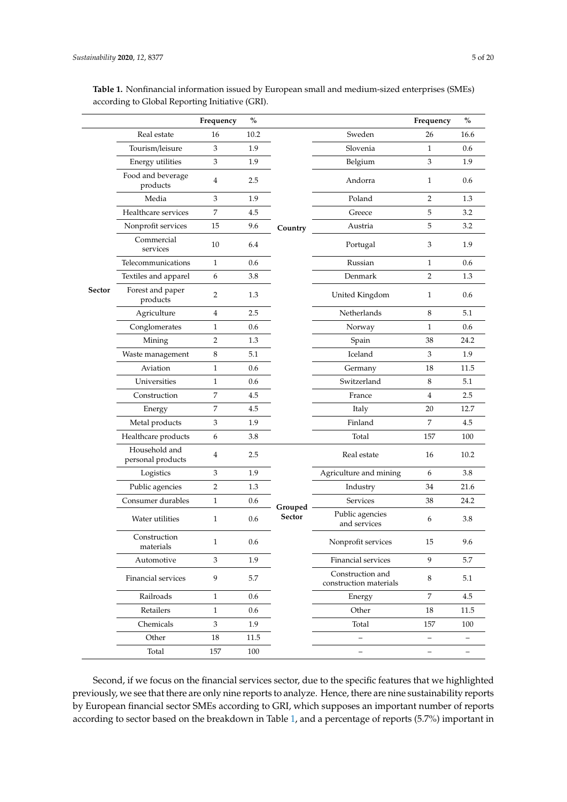|        |                                    | Frequency                 | $\%$    |                   |                                            | Frequency      | $\%$ |
|--------|------------------------------------|---------------------------|---------|-------------------|--------------------------------------------|----------------|------|
|        | Real estate                        | 16                        | 10.2    |                   | Sweden                                     | 26             | 16.6 |
|        | Tourism/leisure                    | 3                         | 1.9     |                   | Slovenia                                   | $\mathbf{1}$   | 0.6  |
|        | Energy utilities                   | 3                         | 1.9     |                   | Belgium                                    | 3              | 1.9  |
|        | Food and beverage<br>products      | 4                         | 2.5     |                   | Andorra                                    | $\mathbf{1}$   | 0.6  |
|        | Media                              | 3                         | 1.9     |                   | Poland                                     | 2              | 1.3  |
|        | Healthcare services                | $\overline{7}$            | 4.5     |                   | Greece                                     | 5              | 3.2  |
|        | Nonprofit services                 | 15                        | 9.6     | Country           | Austria                                    | 5              | 3.2  |
|        | Commercial<br>services             | 10                        | 6.4     |                   | Portugal                                   | 3              | 1.9  |
|        | Telecommunications                 | $\mathbf{1}$              | 0.6     |                   | Russian                                    | $\mathbf{1}$   | 0.6  |
|        | Textiles and apparel               | 6                         | 3.8     |                   | Denmark                                    | 2              | 1.3  |
| Sector | Forest and paper<br>products       | $\overline{2}$            | 1.3     |                   | United Kingdom                             | $\mathbf{1}$   | 0.6  |
|        | Agriculture                        | 4                         | 2.5     |                   | Netherlands                                | 8              | 5.1  |
|        | Conglomerates                      | $\mathbf{1}$              | 0.6     |                   | Norway                                     | $\mathbf{1}$   | 0.6  |
|        | Mining                             | $\overline{2}$            | 1.3     |                   | Spain                                      | 38             | 24.2 |
|        | Waste management                   | $\,8\,$                   | 5.1     |                   | Iceland                                    | 3              | 1.9  |
|        | Aviation                           | $\mathbf{1}$              | 0.6     |                   | Germany                                    | 18             | 11.5 |
|        | Universities                       | 1                         | 0.6     |                   | Switzerland                                | 8              | 5.1  |
|        | Construction                       | 7                         | 4.5     |                   | France                                     | $\overline{4}$ | 2.5  |
|        | Energy                             | 7                         | 4.5     |                   | Italy                                      | 20             | 12.7 |
|        | Metal products                     | 3                         | 1.9     |                   | Finland                                    | 7              | 4.5  |
|        | Healthcare products                | 6                         | 3.8     |                   | Total                                      | 157            | 100  |
|        | Household and<br>personal products | 4                         | 2.5     |                   | Real estate                                | 16             | 10.2 |
|        | Logistics                          | 3                         | 1.9     |                   | Agriculture and mining                     | 6              | 3.8  |
|        | Public agencies                    | $\sqrt{2}$                | 1.3     |                   | Industry                                   | 34             | 21.6 |
|        | Consumer durables                  | $\mathbf{1}$              | 0.6     |                   | Services                                   | 38             | 24.2 |
|        | Water utilities                    | $\mathbf{1}$              | 0.6     | Grouped<br>Sector | Public agencies<br>and services            | 6              | 3.8  |
|        | Construction<br>materials          | $\mathbf{1}$              | 0.6     |                   | Nonprofit services                         | 15             | 9.6  |
|        | Automotive                         | $\ensuremath{\mathsf{3}}$ | 1.9     |                   | Financial services                         | 9              | 5.7  |
|        | Financial services                 | 9                         | 5.7     |                   | Construction and<br>construction materials | 8              | 5.1  |
|        | Railroads                          | $\mathbf{1}$              | $0.6\,$ |                   | Energy                                     | 7              | 4.5  |
|        | Retailers                          | $\mathbf{1}$              | 0.6     |                   | Other                                      | 18             | 11.5 |
|        | Chemicals                          | $\ensuremath{\mathsf{3}}$ | 1.9     |                   | Total                                      | 157            | 100  |
|        | Other                              | 18                        | 11.5    |                   |                                            |                |      |
|        | Total                              | 157                       | 100     |                   |                                            |                |      |

<span id="page-4-0"></span>**Table 1.** Nonfinancial information issued by European small and medium-sized enterprises (SMEs) according to Global Reporting Initiative (GRI).

Second, if we focus on the financial services sector, due to the specific features that we highlighted previously, we see that there are only nine reports to analyze. Hence, there are nine sustainability reports by European financial sector SMEs according to GRI, which supposes an important number of reports according to sector based on the breakdown in Table [1,](#page-4-0) and a percentage of reports (5.7%) important in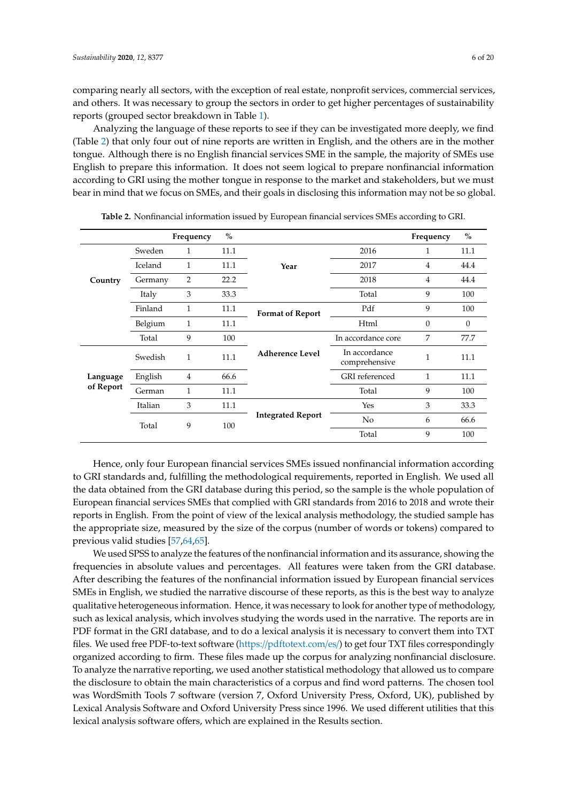comparing nearly all sectors, with the exception of real estate, nonprofit services, commercial services, and others. It was necessary to group the sectors in order to get higher percentages of sustainability reports (grouped sector breakdown in Table [1\)](#page-4-0).

Analyzing the language of these reports to see if they can be investigated more deeply, we find (Table [2\)](#page-5-0) that only four out of nine reports are written in English, and the others are in the mother tongue. Although there is no English financial services SME in the sample, the majority of SMEs use English to prepare this information. It does not seem logical to prepare nonfinancial information according to GRI using the mother tongue in response to the market and stakeholders, but we must bear in mind that we focus on SMEs, and their goals in disclosing this information may not be so global.

<span id="page-5-0"></span>

|           |                      | Frequency      | $\frac{0}{0}$ |                          |                                | Frequency      | $\%$ |
|-----------|----------------------|----------------|---------------|--------------------------|--------------------------------|----------------|------|
|           | Sweden               | 1              | 11.1          |                          | 2016                           | 1              | 11.1 |
|           | Iceland              | 1              | 11.1          | Year                     | 2017                           | 4              | 44.4 |
| Country   | Germany              | 2              | 22.2          |                          | 2018                           | $\overline{4}$ | 44.4 |
|           | Italy                | 3              | 33.3          |                          | Total                          | 9              | 100  |
|           | Finland              | 1              | 11.1          | <b>Format of Report</b>  | Pdf                            | 9              | 100  |
|           | Belgium              | 1              | 11.1          |                          | Html                           | $\theta$       | 0    |
|           | Total                | 9              | 100           |                          | In accordance core             | 7              | 77.7 |
|           | Swedish              | $\mathbf{1}$   | 11.1          | <b>Adherence Level</b>   | In accordance<br>comprehensive | 1              | 11.1 |
| Language  | English              | $\overline{4}$ | 66.6          |                          | <b>GRI</b> referenced          | 1              | 11.1 |
| of Report | German               | 1              | 11.1          |                          | Total                          | 9              | 100  |
|           | Italian<br>3<br>11.1 |                |               | Yes                      | 3                              | 33.3           |      |
|           | Total                | 9<br>100       |               | <b>Integrated Report</b> | N <sub>o</sub>                 | 6              | 66.6 |
|           |                      |                |               |                          | Total                          | 9              | 100  |

**Table 2.** Nonfinancial information issued by European financial services SMEs according to GRI.

Hence, only four European financial services SMEs issued nonfinancial information according to GRI standards and, fulfilling the methodological requirements, reported in English. We used all the data obtained from the GRI database during this period, so the sample is the whole population of European financial services SMEs that complied with GRI standards from 2016 to 2018 and wrote their reports in English. From the point of view of the lexical analysis methodology, the studied sample has the appropriate size, measured by the size of the corpus (number of words or tokens) compared to previous valid studies [\[57,](#page-18-14)[64,](#page-19-1)[65\]](#page-19-2).

We used SPSS to analyze the features of the nonfinancial information and its assurance, showing the frequencies in absolute values and percentages. All features were taken from the GRI database. After describing the features of the nonfinancial information issued by European financial services SMEs in English, we studied the narrative discourse of these reports, as this is the best way to analyze qualitative heterogeneous information. Hence, it was necessary to look for another type of methodology, such as lexical analysis, which involves studying the words used in the narrative. The reports are in PDF format in the GRI database, and to do a lexical analysis it is necessary to convert them into TXT files. We used free PDF-to-text software (https://[pdftotext.com](https://pdftotext.com/es/)/es/) to get four TXT files correspondingly organized according to firm. These files made up the corpus for analyzing nonfinancial disclosure. To analyze the narrative reporting, we used another statistical methodology that allowed us to compare the disclosure to obtain the main characteristics of a corpus and find word patterns. The chosen tool was WordSmith Tools 7 software (version 7, Oxford University Press, Oxford, UK), published by Lexical Analysis Software and Oxford University Press since 1996. We used different utilities that this lexical analysis software offers, which are explained in the Results section.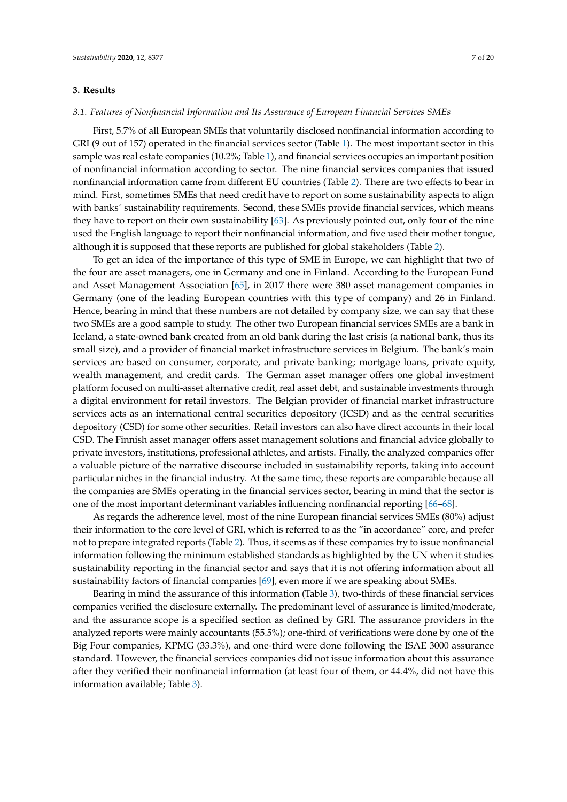## **3. Results**

#### *3.1. Features of Nonfinancial Information and Its Assurance of European Financial Services SMEs*

First, 5.7% of all European SMEs that voluntarily disclosed nonfinancial information according to GRI (9 out of 157) operated in the financial services sector (Table [1\)](#page-4-0). The most important sector in this sample was real estate companies (10.2%; Table [1\)](#page-4-0), and financial services occupies an important position of nonfinancial information according to sector. The nine financial services companies that issued nonfinancial information came from different EU countries (Table [2\)](#page-5-0). There are two effects to bear in mind. First, sometimes SMEs that need credit have to report on some sustainability aspects to align with banks<sup> $\epsilon$ </sup> sustainability requirements. Second, these SMEs provide financial services, which means they have to report on their own sustainability [\[63\]](#page-19-0). As previously pointed out, only four of the nine used the English language to report their nonfinancial information, and five used their mother tongue, although it is supposed that these reports are published for global stakeholders (Table [2\)](#page-5-0).

To get an idea of the importance of this type of SME in Europe, we can highlight that two of the four are asset managers, one in Germany and one in Finland. According to the European Fund and Asset Management Association [\[65\]](#page-19-2), in 2017 there were 380 asset management companies in Germany (one of the leading European countries with this type of company) and 26 in Finland. Hence, bearing in mind that these numbers are not detailed by company size, we can say that these two SMEs are a good sample to study. The other two European financial services SMEs are a bank in Iceland, a state-owned bank created from an old bank during the last crisis (a national bank, thus its small size), and a provider of financial market infrastructure services in Belgium. The bank's main services are based on consumer, corporate, and private banking; mortgage loans, private equity, wealth management, and credit cards. The German asset manager offers one global investment platform focused on multi-asset alternative credit, real asset debt, and sustainable investments through a digital environment for retail investors. The Belgian provider of financial market infrastructure services acts as an international central securities depository (ICSD) and as the central securities depository (CSD) for some other securities. Retail investors can also have direct accounts in their local CSD. The Finnish asset manager offers asset management solutions and financial advice globally to private investors, institutions, professional athletes, and artists. Finally, the analyzed companies offer a valuable picture of the narrative discourse included in sustainability reports, taking into account particular niches in the financial industry. At the same time, these reports are comparable because all the companies are SMEs operating in the financial services sector, bearing in mind that the sector is one of the most important determinant variables influencing nonfinancial reporting [\[66–](#page-19-3)[68\]](#page-19-4).

As regards the adherence level, most of the nine European financial services SMEs (80%) adjust their information to the core level of GRI, which is referred to as the "in accordance" core, and prefer not to prepare integrated reports (Table [2\)](#page-5-0). Thus, it seems as if these companies try to issue nonfinancial information following the minimum established standards as highlighted by the UN when it studies sustainability reporting in the financial sector and says that it is not offering information about all sustainability factors of financial companies [\[69\]](#page-19-5), even more if we are speaking about SMEs.

Bearing in mind the assurance of this information (Table [3\)](#page-7-0), two-thirds of these financial services companies verified the disclosure externally. The predominant level of assurance is limited/moderate, and the assurance scope is a specified section as defined by GRI. The assurance providers in the analyzed reports were mainly accountants (55.5%); one-third of verifications were done by one of the Big Four companies, KPMG (33.3%), and one-third were done following the ISAE 3000 assurance standard. However, the financial services companies did not issue information about this assurance after they verified their nonfinancial information (at least four of them, or 44.4%, did not have this information available; Table [3\)](#page-7-0).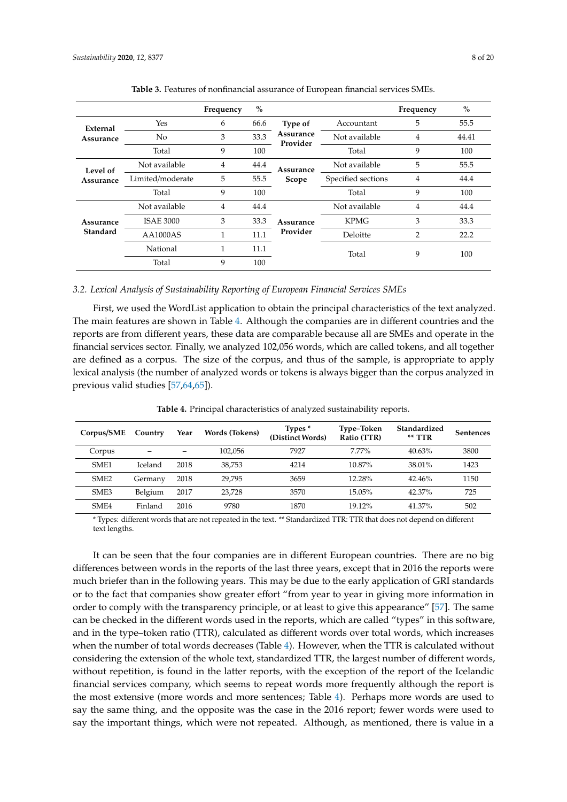<span id="page-7-0"></span>

|           |                  | Frequency | $\%$ |                       |                    | Frequency      | $\frac{0}{0}$ |
|-----------|------------------|-----------|------|-----------------------|--------------------|----------------|---------------|
| External  | Yes              | 6         | 66.6 | Type of               | Accountant         | 5              | 55.5          |
| Assurance | No               | 3         | 33.3 | Assurance<br>Provider | Not available      | 4              | 44.41         |
|           | Total            | 9         | 100  |                       | Total              | 9              | 100           |
| Level of  | Not available    | 4         | 44.4 | Assurance             | Not available      | 5              | 55.5          |
| Assurance | Limited/moderate | 5         | 55.5 | Scope                 | Specified sections | $\overline{4}$ | 44.4          |
|           | Total            | 9         | 100  |                       | Total              | 9              | 100           |
|           | Not available    | 4         | 44.4 |                       | Not available      | 4              | 44.4          |
| Assurance | <b>ISAE 3000</b> | 3         | 33.3 | Assurance             | <b>KPMG</b>        | 3              | 33.3          |
| Standard  | AA1000AS         | 1         | 11.1 | Provider              | Deloitte           | 2              | 22.2          |
|           | National         | 1         | 11.1 |                       | Total              | 9              | 100           |
|           | Total            | 9         | 100  |                       |                    |                |               |

**Table 3.** Features of nonfinancial assurance of European financial services SMEs.

## *3.2. Lexical Analysis of Sustainability Reporting of European Financial Services SMEs*

First, we used the WordList application to obtain the principal characteristics of the text analyzed. The main features are shown in Table [4.](#page-7-1) Although the companies are in different countries and the reports are from different years, these data are comparable because all are SMEs and operate in the financial services sector. Finally, we analyzed 102,056 words, which are called tokens, and all together are defined as a corpus. The size of the corpus, and thus of the sample, is appropriate to apply lexical analysis (the number of analyzed words or tokens is always bigger than the corpus analyzed in previous valid studies [\[57,](#page-18-14)[64,](#page-19-1)[65\]](#page-19-2)).

<span id="page-7-1"></span>

| Corpus/SME       | Country | Year | <b>Words (Tokens)</b> | Types <sup>*</sup><br>(Distinct Words) | Type–Token<br>Ratio (TTR) | Standardized<br>** TTR | Sentences |
|------------------|---------|------|-----------------------|----------------------------------------|---------------------------|------------------------|-----------|
| Corpus           |         |      | 102.056               | 7927                                   | $7.77\%$                  | $40.63\%$              | 3800      |
| SME <sub>1</sub> | Iceland | 2018 | 38.753                | 4214                                   | $10.87\%$                 | 38.01%                 | 1423      |
| SME <sub>2</sub> | Germany | 2018 | 29.795                | 3659                                   | 12.28%                    | 42.46%                 | 1150      |
| SME <sub>3</sub> | Belgium | 2017 | 23.728                | 3570                                   | $15.05\%$                 | 42.37%                 | 725       |
| SME4             | Finland | 2016 | 9780                  | 1870                                   | $19.12\%$                 | 41.37%                 | 502       |

**Table 4.** Principal characteristics of analyzed sustainability reports.

\* Types: different words that are not repeated in the text. \*\* Standardized TTR: TTR that does not depend on different text lengths.

It can be seen that the four companies are in different European countries. There are no big differences between words in the reports of the last three years, except that in 2016 the reports were much briefer than in the following years. This may be due to the early application of GRI standards or to the fact that companies show greater effort "from year to year in giving more information in order to comply with the transparency principle, or at least to give this appearance" [\[57\]](#page-18-14). The same can be checked in the different words used in the reports, which are called "types" in this software, and in the type–token ratio (TTR), calculated as different words over total words, which increases when the number of total words decreases (Table [4\)](#page-7-1). However, when the TTR is calculated without considering the extension of the whole text, standardized TTR, the largest number of different words, without repetition, is found in the latter reports, with the exception of the report of the Icelandic financial services company, which seems to repeat words more frequently although the report is the most extensive (more words and more sentences; Table [4\)](#page-7-1). Perhaps more words are used to say the same thing, and the opposite was the case in the 2016 report; fewer words were used to say the important things, which were not repeated. Although, as mentioned, there is value in a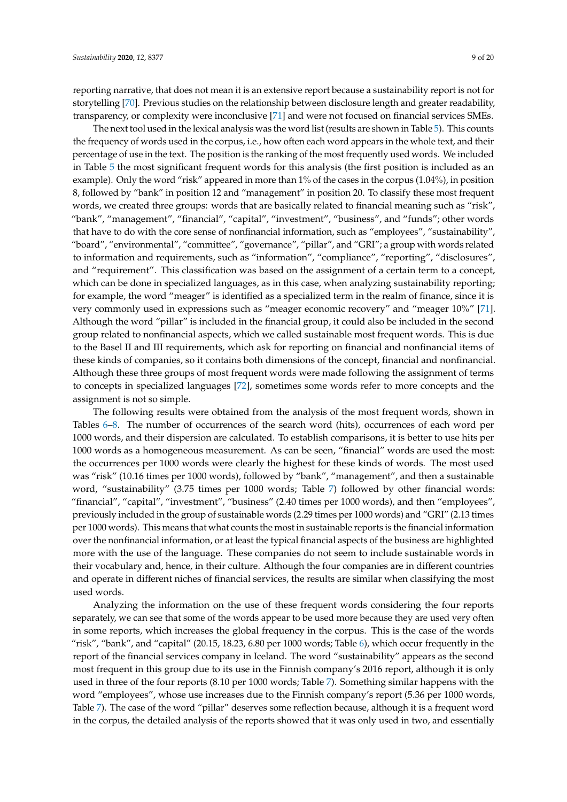reporting narrative, that does not mean it is an extensive report because a sustainability report is not for storytelling [\[70\]](#page-19-6). Previous studies on the relationship between disclosure length and greater readability, transparency, or complexity were inconclusive [\[71\]](#page-19-7) and were not focused on financial services SMEs.

The next tool used in the lexical analysis was the word list (results are shown in Table [5\)](#page-9-0). This counts the frequency of words used in the corpus, i.e., how often each word appears in the whole text, and their percentage of use in the text. The position is the ranking of the most frequently used words. We included in Table [5](#page-9-0) the most significant frequent words for this analysis (the first position is included as an example). Only the word "risk" appeared in more than 1% of the cases in the corpus (1.04%), in position 8, followed by "bank" in position 12 and "management" in position 20. To classify these most frequent words, we created three groups: words that are basically related to financial meaning such as "risk", "bank", "management", "financial", "capital", "investment", "business", and "funds"; other words that have to do with the core sense of nonfinancial information, such as "employees", "sustainability", "board", "environmental", "committee", "governance", "pillar", and "GRI"; a group with words related to information and requirements, such as "information", "compliance", "reporting", "disclosures", and "requirement". This classification was based on the assignment of a certain term to a concept, which can be done in specialized languages, as in this case, when analyzing sustainability reporting; for example, the word "meager" is identified as a specialized term in the realm of finance, since it is very commonly used in expressions such as "meager economic recovery" and "meager 10%" [\[71\]](#page-19-7). Although the word "pillar" is included in the financial group, it could also be included in the second group related to nonfinancial aspects, which we called sustainable most frequent words. This is due to the Basel II and III requirements, which ask for reporting on financial and nonfinancial items of these kinds of companies, so it contains both dimensions of the concept, financial and nonfinancial. Although these three groups of most frequent words were made following the assignment of terms to concepts in specialized languages [\[72\]](#page-19-8), sometimes some words refer to more concepts and the assignment is not so simple.

The following results were obtained from the analysis of the most frequent words, shown in Tables [6](#page-10-0)[–8.](#page-11-0) The number of occurrences of the search word (hits), occurrences of each word per 1000 words, and their dispersion are calculated. To establish comparisons, it is better to use hits per 1000 words as a homogeneous measurement. As can be seen, "financial" words are used the most: the occurrences per 1000 words were clearly the highest for these kinds of words. The most used was "risk" (10.16 times per 1000 words), followed by "bank", "management", and then a sustainable word, "sustainability" (3.75 times per 1000 words; Table [7\)](#page-11-1) followed by other financial words: "financial", "capital", "investment", "business" (2.40 times per 1000 words), and then "employees", previously included in the group of sustainable words (2.29 times per 1000 words) and "GRI" (2.13 times per 1000 words). This means that what counts the most in sustainable reports is the financial information over the nonfinancial information, or at least the typical financial aspects of the business are highlighted more with the use of the language. These companies do not seem to include sustainable words in their vocabulary and, hence, in their culture. Although the four companies are in different countries and operate in different niches of financial services, the results are similar when classifying the most used words.

Analyzing the information on the use of these frequent words considering the four reports separately, we can see that some of the words appear to be used more because they are used very often in some reports, which increases the global frequency in the corpus. This is the case of the words "risk", "bank", and "capital" (20.15, 18.23, 6.80 per 1000 words; Table [6\)](#page-10-0), which occur frequently in the report of the financial services company in Iceland. The word "sustainability" appears as the second most frequent in this group due to its use in the Finnish company's 2016 report, although it is only used in three of the four reports (8.10 per 1000 words; Table [7\)](#page-11-1). Something similar happens with the word "employees", whose use increases due to the Finnish company's report (5.36 per 1000 words, Table [7\)](#page-11-1). The case of the word "pillar" deserves some reflection because, although it is a frequent word in the corpus, the detailed analysis of the reports showed that it was only used in two, and essentially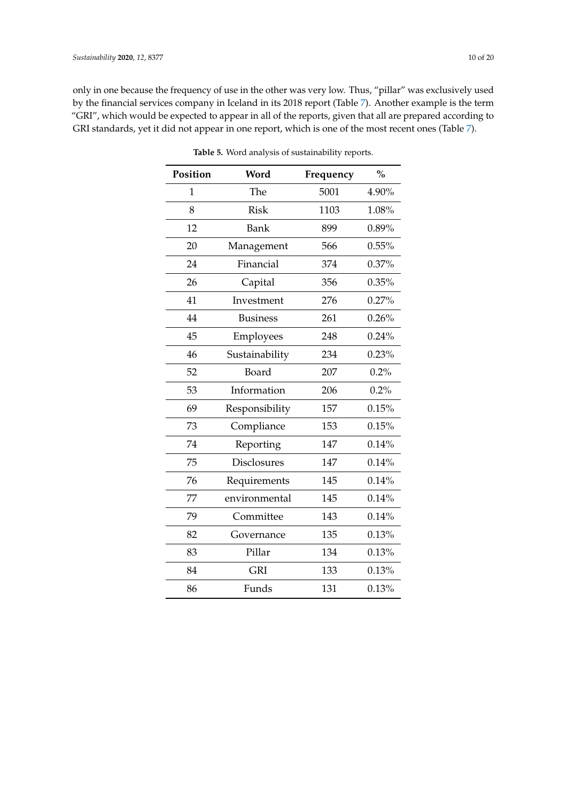<span id="page-9-0"></span>only in one because the frequency of use in the other was very low. Thus, "pillar" was exclusively used by the financial services company in Iceland in its 2018 report (Table [7\)](#page-11-1). Another example is the term "GRI", which would be expected to appear in all of the reports, given that all are prepared according to GRI standards, yet it did not appear in one report, which is one of the most recent ones (Table [7\)](#page-11-1).

| Position | Word               | Frequency | $\frac{0}{0}$ |
|----------|--------------------|-----------|---------------|
| 1        | The                | 5001      | 4.90%         |
| 8        | <b>Risk</b>        | 1103      | 1.08%         |
| 12       | <b>Bank</b>        | 899       | 0.89%         |
| 20       | Management         | 566       | 0.55%         |
| 24       | Financial          | 374       | 0.37%         |
| 26       | Capital            | 356       | 0.35%         |
| 41       | Investment         | 276       | 0.27%         |
| 44       | <b>Business</b>    | 261       | 0.26%         |
| 45       | Employees          | 248       | 0.24%         |
| 46       | Sustainability     | 234       | 0.23%         |
| 52       | Board              | 207       | 0.2%          |
| 53       | Information        | 206       | 0.2%          |
| 69       | Responsibility     | 157       | 0.15%         |
| 73       | Compliance         | 153       | 0.15%         |
| 74       | Reporting          | 147       | 0.14%         |
| 75       | <b>Disclosures</b> | 147       | 0.14%         |
| 76       | Requirements       | 145       | 0.14%         |
| 77       | environmental      | 145       | 0.14%         |
| 79       | Committee          | 143       | 0.14%         |
| 82       | Governance         | 135       | 0.13%         |
| 83       | Pillar             | 134       | 0.13%         |
| 84       | <b>GRI</b>         | 133       | 0.13%         |
| 86       | Funds              | 131       | 0.13%         |

**Table 5.** Word analysis of sustainability reports.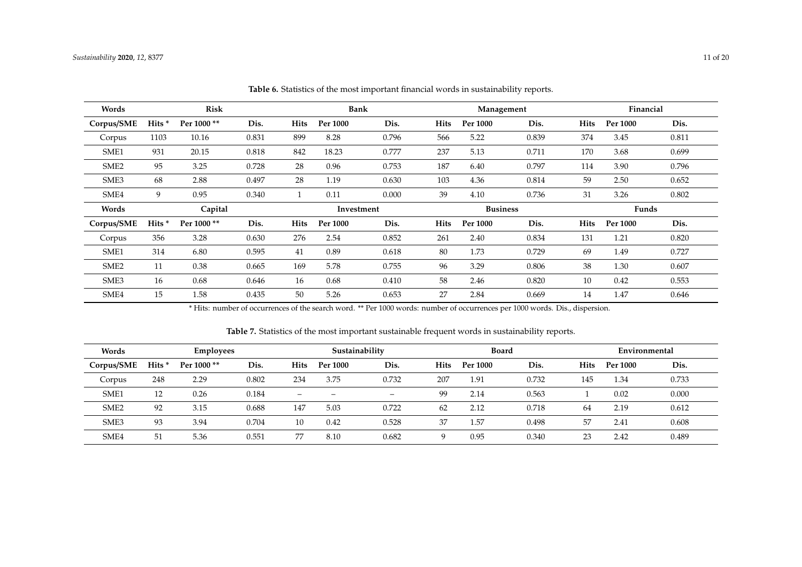| Words            | Risk              |            |       | Bank        |            |       |             | Management      |       |      | Financial |       |
|------------------|-------------------|------------|-------|-------------|------------|-------|-------------|-----------------|-------|------|-----------|-------|
| Corpus/SME       | Hits <sup>*</sup> | Per 1000** | Dis.  | <b>Hits</b> | Per 1000   | Dis.  | <b>Hits</b> | Per 1000        | Dis.  | Hits | Per 1000  | Dis.  |
| Corpus           | 1103              | 10.16      | 0.831 | 899         | 8.28       | 0.796 | 566         | 5.22            | 0.839 | 374  | 3.45      | 0.811 |
| SME1             | 931               | 20.15      | 0.818 | 842         | 18.23      | 0.777 | 237         | 5.13            | 0.711 | 170  | 3.68      | 0.699 |
| SME <sub>2</sub> | 95                | 3.25       | 0.728 | 28          | 0.96       | 0.753 | 187         | 6.40            | 0.797 | 114  | 3.90      | 0.796 |
| SME3             | 68                | 2.88       | 0.497 | 28          | 1.19       | 0.630 | 103         | 4.36            | 0.814 | 59   | 2.50      | 0.652 |
| SME4             | 9                 | 0.95       | 0.340 |             | 0.11       | 0.000 | 39          | 4.10            | 0.736 | 31   | 3.26      | 0.802 |
|                  |                   |            |       |             |            |       |             |                 |       |      |           |       |
| Words            |                   | Capital    |       |             | Investment |       |             | <b>Business</b> |       |      | Funds     |       |
| Corpus/SME       | Hits <sup>*</sup> | Per 1000** | Dis.  | <b>Hits</b> | Per 1000   | Dis.  | <b>Hits</b> | Per 1000        | Dis.  | Hits | Per 1000  | Dis.  |
| Corpus           | 356               | 3.28       | 0.630 | 276         | 2.54       | 0.852 | 261         | 2.40            | 0.834 | 131  | 1.21      | 0.820 |
| SME <sub>1</sub> | 314               | 6.80       | 0.595 | 41          | 0.89       | 0.618 | 80          | 1.73            | 0.729 | 69   | 1.49      | 0.727 |
| SME <sub>2</sub> | 11                | 0.38       | 0.665 | 169         | 5.78       | 0.755 | 96          | 3.29            | 0.806 | 38   | 1.30      | 0.607 |
| SME3             | 16                | 0.68       | 0.646 | 16          | 0.68       | 0.410 | 58          | 2.46            | 0.820 | 10   | 0.42      | 0.553 |

**Table 6.** Statistics of the most important financial words in sustainability reports.

\* Hits: number of occurrences of the search word. \*\* Per 1000 words: number of occurrences per 1000 words. Dis., dispersion.

**Table 7.** Statistics of the most important sustainable frequent words in sustainability reports.

<span id="page-10-0"></span>

| Words            | <b>Employees</b>  |            |       | Sustainability    |                          |                   |      | <b>Board</b>    |       |      | Environmental   |       |  |
|------------------|-------------------|------------|-------|-------------------|--------------------------|-------------------|------|-----------------|-------|------|-----------------|-------|--|
| Corpus/SME       | Hits <sup>*</sup> | Per 1000** | Dis.  | <b>Hits</b>       | Per 1000                 | Dis.              | Hits | <b>Per 1000</b> | Dis.  | Hits | <b>Per 1000</b> | Dis.  |  |
| Corpus           | 248               | 2.29       | 0.802 | 234               | 3.75                     | 0.732             | 207  | 1.91            | 0.732 | 145  | 1.34            | 0.733 |  |
| SME1             | 12                | 0.26       | 0.184 | $\qquad \qquad -$ | $\overline{\phantom{m}}$ | $\qquad \qquad -$ | 99   | 2.14            | 0.563 |      | 0.02            | 0.000 |  |
| SME <sub>2</sub> | 92                | 3.15       | 0.688 | 147               | 5.03                     | 0.722             | 62   | 2.12            | 0.718 | 64   | 2.19            | 0.612 |  |
| SME <sub>3</sub> | 93                | 3.94       | 0.704 | 10                | 0.42                     | 0.528             | 37   | 1.57            | 0.498 | 57   | 2.41            | 0.608 |  |
| SME4             | 51                | 5.36       | 0.551 | 77                | 8.10                     | 0.682             | 9    | 0.95            | 0.340 | 23   | 2.42            | 0.489 |  |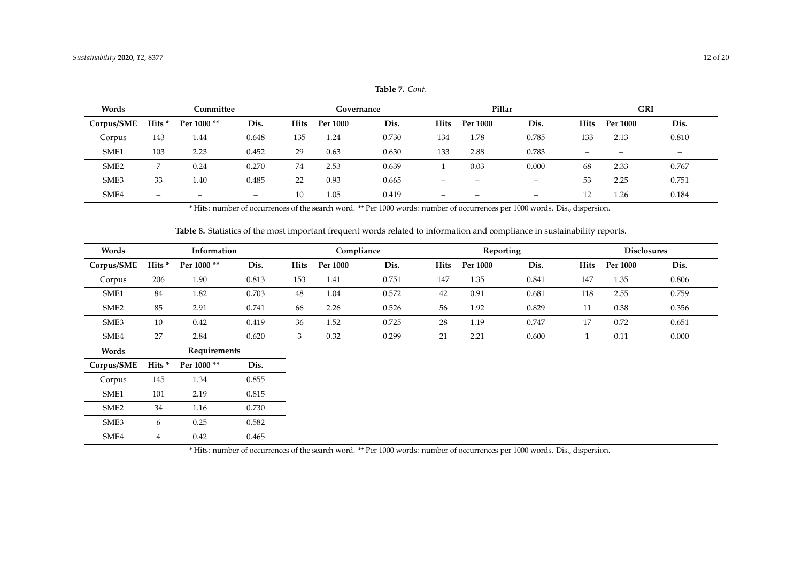| Words            | Committee                |                   |                   | Governance |          |       | Pillar            |                          |                          |                          | <b>GRI</b>               |                          |  |
|------------------|--------------------------|-------------------|-------------------|------------|----------|-------|-------------------|--------------------------|--------------------------|--------------------------|--------------------------|--------------------------|--|
| Corpus/SME       | Hits <sup>*</sup>        | Per 1000**        | Dis.              | Hits       | Per 1000 | Dis.  | Hits              | <b>Per 1000</b>          | Dis.                     | <b>Hits</b>              | Per 1000                 | Dis.                     |  |
| Corpus           | 143                      | 1.44              | 0.648             | 135        | 1.24     | 0.730 | 134               | 1.78                     | 0.785                    | 133                      | 2.13                     | 0.810                    |  |
| SME1             | 103                      | 2.23              | 0.452             | 29         | 0.63     | 0.630 | 133               | 2.88                     | 0.783                    | $\overline{\phantom{a}}$ | $\overline{\phantom{a}}$ | $\overline{\phantom{0}}$ |  |
| SME <sub>2</sub> | п,                       | 0.24              | 0.270             | 74         | 2.53     | 0.639 |                   | 0.03                     | 0.000                    | 68                       | 2.33                     | 0.767                    |  |
| SME <sub>3</sub> | 33                       | 1.40              | 0.485             | 22         | 0.93     | 0.665 | $\qquad \qquad$   |                          | $\overline{\phantom{m}}$ | 53                       | 2.25                     | 0.751                    |  |
| SME <sub>4</sub> | $\overline{\phantom{0}}$ | $\qquad \qquad -$ | $\qquad \qquad -$ | 10         | 1.05     | 0.419 | $\qquad \qquad -$ | $\overline{\phantom{m}}$ | $\overline{\phantom{m}}$ | 12                       | .26                      | 0.184                    |  |

**Table 7.** *Cont*.

\* Hits: number of occurrences of the search word. \*\* Per 1000 words: number of occurrences per 1000 words. Dis., dispersion.

**Table 8.** Statistics of the most important frequent words related to information and compliance in sustainability reports.

<span id="page-11-1"></span>

| Words            | Information       |              |       | Compliance  |                 |       |      | Reporting       |       |             | <b>Disclosures</b> |       |
|------------------|-------------------|--------------|-------|-------------|-----------------|-------|------|-----------------|-------|-------------|--------------------|-------|
| Corpus/SME       | Hits <sup>*</sup> | Per 1000**   | Dis.  | <b>Hits</b> | <b>Per 1000</b> | Dis.  | Hits | <b>Per 1000</b> | Dis.  | <b>Hits</b> | <b>Per 1000</b>    | Dis.  |
| Corpus           | 206               | 1.90         | 0.813 | 153         | 1.41            | 0.751 | 147  | 1.35            | 0.841 | 147         | 1.35               | 0.806 |
| SME1             | 84                | 1.82         | 0.703 | 48          | 1.04            | 0.572 | 42   | 0.91            | 0.681 | 118         | 2.55               | 0.759 |
| SME <sub>2</sub> | 85                | 2.91         | 0.741 | 66          | 2.26            | 0.526 | 56   | 1.92            | 0.829 | 11          | 0.38               | 0.356 |
| SME3             | 10                | 0.42         | 0.419 | 36          | 1.52            | 0.725 | 28   | 1.19            | 0.747 | 17          | 0.72               | 0.651 |
| SME4             | 27                | 2.84         | 0.620 | 3           | 0.32            | 0.299 | 21   | 2.21            | 0.600 | 1           | 0.11               | 0.000 |
| Words            |                   | Requirements |       |             |                 |       |      |                 |       |             |                    |       |
| Corpus/SME       | Hits <sup>*</sup> | Per 1000 **  | Dis.  |             |                 |       |      |                 |       |             |                    |       |
| Corpus           | 145               | 1.34         | 0.855 |             |                 |       |      |                 |       |             |                    |       |
| SME1             | 101               | 2.19         | 0.815 |             |                 |       |      |                 |       |             |                    |       |
| SME <sub>2</sub> | 34                | 1.16         | 0.730 |             |                 |       |      |                 |       |             |                    |       |
| SME3             | 6                 | 0.25         | 0.582 |             |                 |       |      |                 |       |             |                    |       |
| SME4             | 4                 | 0.42         | 0.465 |             |                 |       |      |                 |       |             |                    |       |

<span id="page-11-0"></span>\* Hits: number of occurrences of the search word. \*\* Per 1000 words: number of occurrences per 1000 words. Dis., dispersion.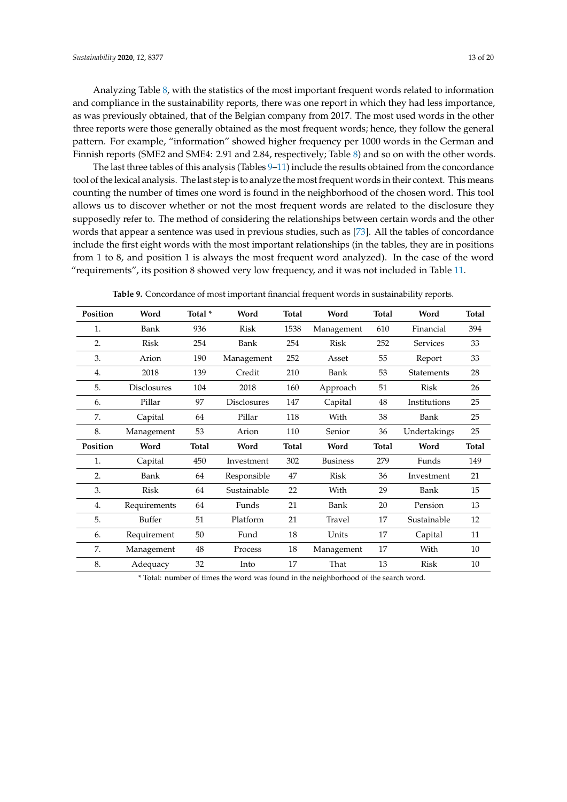Analyzing Table [8,](#page-11-0) with the statistics of the most important frequent words related to information and compliance in the sustainability reports, there was one report in which they had less importance, as was previously obtained, that of the Belgian company from 2017. The most used words in the other three reports were those generally obtained as the most frequent words; hence, they follow the general pattern. For example, "information" showed higher frequency per 1000 words in the German and Finnish reports (SME2 and SME4: 2.91 and 2.84, respectively; Table [8\)](#page-11-0) and so on with the other words.

The last three tables of this analysis (Tables [9](#page-12-0)[–11\)](#page-13-0) include the results obtained from the concordance tool of the lexical analysis. The last step is to analyze the most frequent words in their context. This means counting the number of times one word is found in the neighborhood of the chosen word. This tool allows us to discover whether or not the most frequent words are related to the disclosure they supposedly refer to. The method of considering the relationships between certain words and the other words that appear a sentence was used in previous studies, such as [\[73\]](#page-19-9). All the tables of concordance include the first eight words with the most important relationships (in the tables, they are in positions from 1 to 8, and position 1 is always the most frequent word analyzed). In the case of the word "requirements", its position 8 showed very low frequency, and it was not included in Table [11.](#page-13-0)

<span id="page-12-0"></span>

| Position | Word               | Total * | Word                        | Total                         | Word              | <b>Total</b> | Word            | Total |
|----------|--------------------|---------|-----------------------------|-------------------------------|-------------------|--------------|-----------------|-------|
| 1.       | Bank               | 936     | Risk                        | 1538                          | Management        | 610          | Financial       | 394   |
| 2.       | Risk               | 254     | Bank                        | 254                           | Risk              | 252          | <b>Services</b> | 33    |
| 3.       | Arion              | 190     | Management                  | 252<br>55<br>Report<br>Asset  |                   |              | 33              |       |
| 4.       | 2018               | 139     | Credit<br>210<br>53<br>Bank |                               | <b>Statements</b> | 28           |                 |       |
| 5.       | <b>Disclosures</b> | 104     | 2018                        | 160<br>51<br>Risk<br>Approach |                   |              | 26              |       |
| 6.       | Pillar             | 97      | <b>Disclosures</b>          | 147                           | Capital           | 48           | Institutions    | 25    |
| 7.       | Capital            | 64      | Pillar                      | 118                           | With              | 38           | Bank            | 25    |
| 8.       | Management         | 53      | Arion                       | 110                           | Senior            | 36           | Undertakings    | 25    |
|          |                    |         |                             |                               |                   |              |                 |       |
| Position | Word               | Total   | Word                        | Total                         | Word              | Total        | Word            | Total |
| 1.       | Capital            | 450     | Investment                  | 302                           | <b>Business</b>   | 279          | Funds           | 149   |
| 2.       | Bank               | 64      | Responsible                 | 47                            | Risk              | 36           | Investment      | 21    |
| 3.       | Risk               | 64      | Sustainable                 | 22                            | With              | 29           | Bank            | 15    |
| 4.       | Requirements       | 64      | Funds                       | 21                            | Bank              | 20           | Pension         | 13    |
| 5.       | Buffer             | 51      | Platform                    | 21                            | Travel            | 17           | Sustainable     | 12    |
| 6.       | Requirement        | 50      | Fund                        | 18                            | Units             | 17           | Capital         | 11    |
| 7.       | Management         | 48      | Process                     | 18                            | Management        | 17           | With            | 10    |

**Table 9.** Concordance of most important financial frequent words in sustainability reports.

\* Total: number of times the word was found in the neighborhood of the search word.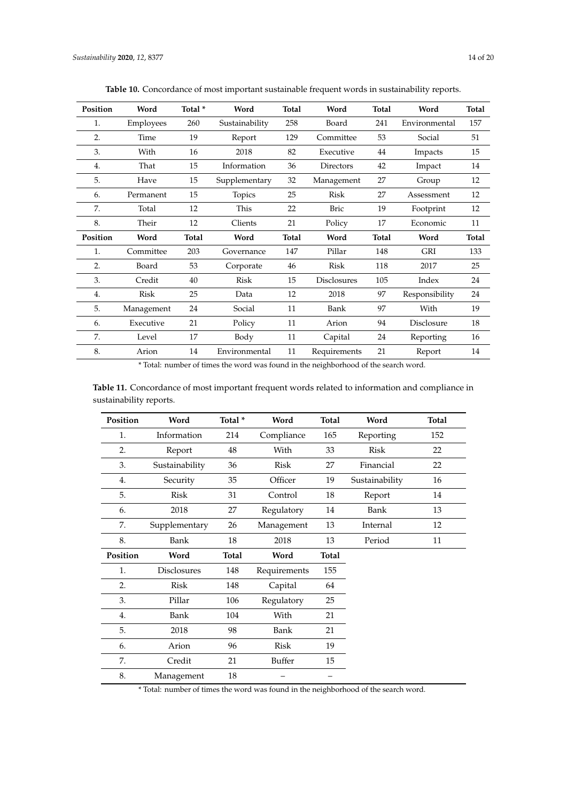<span id="page-13-1"></span>

| Position | Word       | Total * | Word                        | Total                  | Word         | Total     | Word           | Total |
|----------|------------|---------|-----------------------------|------------------------|--------------|-----------|----------------|-------|
| 1.       | Employees  | 260     | Sustainability              | 258                    | Board        | 241       | Environmental  | 157   |
| 2.       | Time       | 19      | Report                      | 129                    | Committee    | 53        | Social         | 51    |
| 3.       | With       | 16      | 2018<br>82                  |                        | Executive    | 44        | Impacts        | 15    |
| 4.       | That       | 15      | Information                 | 36<br><b>Directors</b> |              | 42        | Impact         | 14    |
| 5.       | Have       | 15      | Supplementary               | 32                     | Management   | 27        | Group          | 12    |
| 6.       | Permanent  | 15      | Topics                      | 25                     | Risk         | 27        | Assessment     | 12    |
| 7.       | Total      | 12      | This                        | 22                     | Bric         | 19        | Footprint      | 12    |
| 8.       | Their      | 12      | Clients                     | 21                     | Policy       | 17        | Economic       | 11    |
| Position | Word       | Total   | Word                        | <b>Total</b>           | Word         | Total     | Word           | Total |
| 1.       | Committee  | 203     | Governance                  | 147                    | Pillar       | 148       | <b>GRI</b>     | 133   |
| 2.       | Board      | 53      | Corporate                   | 46                     | Risk         | 118       | 2017           | 25    |
| 3.       | Credit     | 40      | Risk                        | 15                     | Disclosures  | 105       | Index          | 24    |
| 4.       | Risk       | 25      | Data                        | 12                     | 2018         | 97        | Responsibility | 24    |
| 5.       | Management | 24      | Social                      | 11                     | Bank         | 97        | With           | 19    |
| 6.       | Executive  | 21      | Policy                      | 11                     | Arion        | 94        | Disclosure     | 18    |
| 7.       | Level      | 17      | 24<br>Body<br>11<br>Capital |                        |              | Reporting | 16             |       |
| 8.       | Arion      | 14      | Environmental               | 11                     | Requirements | 21        | Report         | 14    |

**Table 10.** Concordance of most important sustainable frequent words in sustainability reports.

\* Total: number of times the word was found in the neighborhood of the search word.

<span id="page-13-0"></span>**Table 11.** Concordance of most important frequent words related to information and compliance in sustainability reports.

| Position | Word               | Total <sup>*</sup> | Word         | <b>Total</b> | Word           | <b>Total</b> |
|----------|--------------------|--------------------|--------------|--------------|----------------|--------------|
| 1.       | Information        | 214                | Compliance   | 165          | Reporting      | 152          |
| 2.       | Report             | 48                 | With         | 33           | Risk           | 22           |
| 3.       | Sustainability     | 36                 | Risk         | 27           | Financial      | 22           |
| 4.       | Security           | 35                 | Officer      | 19           | Sustainability | 16           |
| 5.       | Risk               | 31                 | Control      | 18           | Report         | 14           |
| 6.       | 2018               | 27                 | Regulatory   | 14           | Bank           | 13           |
| 7.       | Supplementary      | 26                 | Management   | 13           | Internal       | 12           |
| 8.       | Bank               | 18                 | 2018         | 13           | Period         | 11           |
| Position | Word               | <b>Total</b>       | Word         | <b>Total</b> |                |              |
| 1.       | <b>Disclosures</b> | 148                | Requirements | 155          |                |              |
| 2.       | Risk               | 148                | Capital      | 64           |                |              |
| 3.       | Pillar             | 106                | Regulatory   | 25           |                |              |
| 4.       | Bank               | 104                | With         | 21           |                |              |
| 5.       | 2018               | 98                 | Bank         | 21           |                |              |
| 6.       | Arion              | 96                 | <b>Risk</b>  | 19           |                |              |
| 7.       | Credit             | 21                 | Buffer       | 15           |                |              |
| 8.       | Management         | 18                 |              |              |                |              |

\* Total: number of times the word was found in the neighborhood of the search word.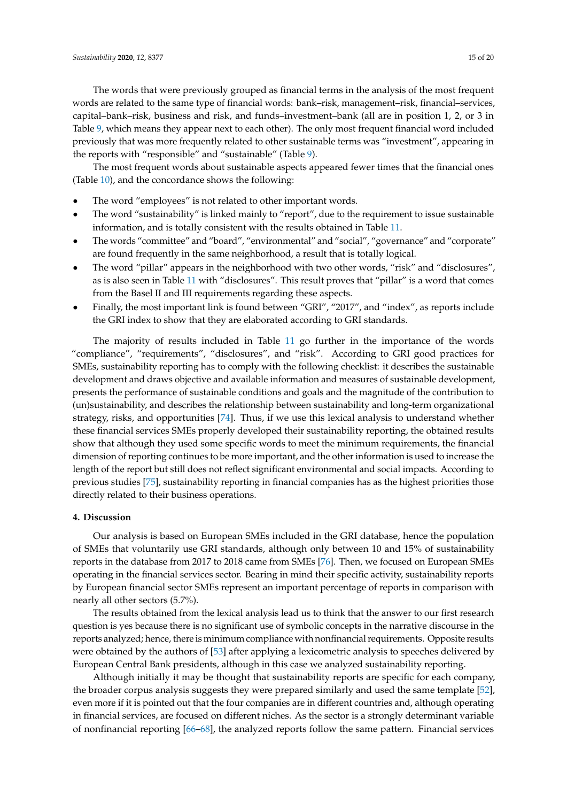The words that were previously grouped as financial terms in the analysis of the most frequent words are related to the same type of financial words: bank–risk, management–risk, financial–services, capital–bank–risk, business and risk, and funds–investment–bank (all are in position 1, 2, or 3 in Table [9,](#page-12-0) which means they appear next to each other). The only most frequent financial word included previously that was more frequently related to other sustainable terms was "investment", appearing in the reports with "responsible" and "sustainable" (Table [9\)](#page-12-0).

The most frequent words about sustainable aspects appeared fewer times that the financial ones (Table [10\)](#page-13-1), and the concordance shows the following:

- The word "employees" is not related to other important words.
- The word "sustainability" is linked mainly to "report", due to the requirement to issue sustainable information, and is totally consistent with the results obtained in Table [11.](#page-13-0)
- The words "committee" and "board", "environmental" and "social", "governance" and "corporate" are found frequently in the same neighborhood, a result that is totally logical.
- The word "pillar" appears in the neighborhood with two other words, "risk" and "disclosures", as is also seen in Table [11](#page-13-0) with "disclosures". This result proves that "pillar" is a word that comes from the Basel II and III requirements regarding these aspects.
- Finally, the most important link is found between "GRI", "2017", and "index", as reports include the GRI index to show that they are elaborated according to GRI standards.

The majority of results included in Table [11](#page-13-0) go further in the importance of the words "compliance", "requirements", "disclosures", and "risk". According to GRI good practices for SMEs, sustainability reporting has to comply with the following checklist: it describes the sustainable development and draws objective and available information and measures of sustainable development, presents the performance of sustainable conditions and goals and the magnitude of the contribution to (un)sustainability, and describes the relationship between sustainability and long-term organizational strategy, risks, and opportunities [\[74\]](#page-19-10). Thus, if we use this lexical analysis to understand whether these financial services SMEs properly developed their sustainability reporting, the obtained results show that although they used some specific words to meet the minimum requirements, the financial dimension of reporting continues to be more important, and the other information is used to increase the length of the report but still does not reflect significant environmental and social impacts. According to previous studies [\[75\]](#page-19-11), sustainability reporting in financial companies has as the highest priorities those directly related to their business operations.

## **4. Discussion**

Our analysis is based on European SMEs included in the GRI database, hence the population of SMEs that voluntarily use GRI standards, although only between 10 and 15% of sustainability reports in the database from 2017 to 2018 came from SMEs [\[76\]](#page-19-12). Then, we focused on European SMEs operating in the financial services sector. Bearing in mind their specific activity, sustainability reports by European financial sector SMEs represent an important percentage of reports in comparison with nearly all other sectors (5.7%).

The results obtained from the lexical analysis lead us to think that the answer to our first research question is yes because there is no significant use of symbolic concepts in the narrative discourse in the reports analyzed; hence, there is minimum compliance with nonfinancial requirements. Opposite results were obtained by the authors of [\[53\]](#page-18-10) after applying a lexicometric analysis to speeches delivered by European Central Bank presidents, although in this case we analyzed sustainability reporting.

Although initially it may be thought that sustainability reports are specific for each company, the broader corpus analysis suggests they were prepared similarly and used the same template [\[52\]](#page-18-9), even more if it is pointed out that the four companies are in different countries and, although operating in financial services, are focused on different niches. As the sector is a strongly determinant variable of nonfinancial reporting [\[66](#page-19-3)[–68\]](#page-19-4), the analyzed reports follow the same pattern. Financial services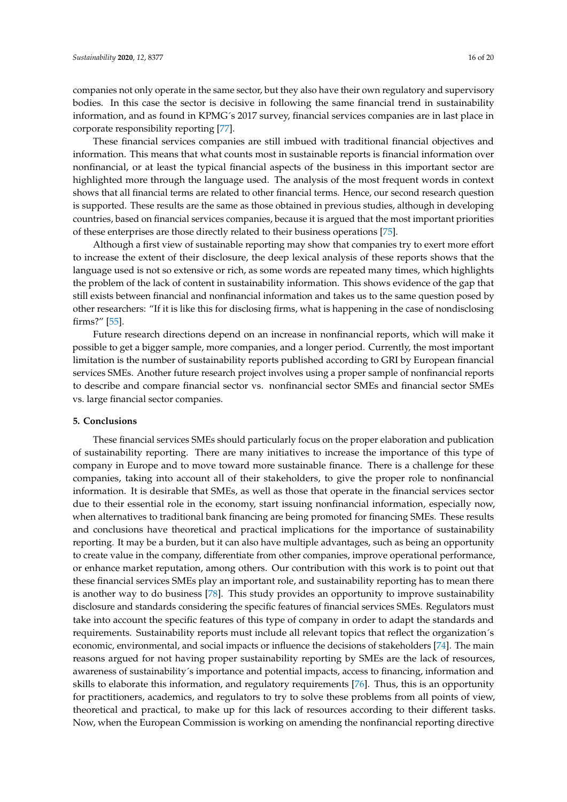companies not only operate in the same sector, but they also have their own regulatory and supervisory bodies. In this case the sector is decisive in following the same financial trend in sustainability information, and as found in KPMG´s 2017 survey, financial services companies are in last place in

corporate responsibility reporting [\[77\]](#page-19-13). These financial services companies are still imbued with traditional financial objectives and information. This means that what counts most in sustainable reports is financial information over nonfinancial, or at least the typical financial aspects of the business in this important sector are highlighted more through the language used. The analysis of the most frequent words in context shows that all financial terms are related to other financial terms. Hence, our second research question is supported. These results are the same as those obtained in previous studies, although in developing countries, based on financial services companies, because it is argued that the most important priorities of these enterprises are those directly related to their business operations [\[75\]](#page-19-11).

Although a first view of sustainable reporting may show that companies try to exert more effort to increase the extent of their disclosure, the deep lexical analysis of these reports shows that the language used is not so extensive or rich, as some words are repeated many times, which highlights the problem of the lack of content in sustainability information. This shows evidence of the gap that still exists between financial and nonfinancial information and takes us to the same question posed by other researchers: "If it is like this for disclosing firms, what is happening in the case of nondisclosing firms?" [\[55\]](#page-18-12).

Future research directions depend on an increase in nonfinancial reports, which will make it possible to get a bigger sample, more companies, and a longer period. Currently, the most important limitation is the number of sustainability reports published according to GRI by European financial services SMEs. Another future research project involves using a proper sample of nonfinancial reports to describe and compare financial sector vs. nonfinancial sector SMEs and financial sector SMEs vs. large financial sector companies.

## **5. Conclusions**

These financial services SMEs should particularly focus on the proper elaboration and publication of sustainability reporting. There are many initiatives to increase the importance of this type of company in Europe and to move toward more sustainable finance. There is a challenge for these companies, taking into account all of their stakeholders, to give the proper role to nonfinancial information. It is desirable that SMEs, as well as those that operate in the financial services sector due to their essential role in the economy, start issuing nonfinancial information, especially now, when alternatives to traditional bank financing are being promoted for financing SMEs. These results and conclusions have theoretical and practical implications for the importance of sustainability reporting. It may be a burden, but it can also have multiple advantages, such as being an opportunity to create value in the company, differentiate from other companies, improve operational performance, or enhance market reputation, among others. Our contribution with this work is to point out that these financial services SMEs play an important role, and sustainability reporting has to mean there is another way to do business [\[78\]](#page-19-14). This study provides an opportunity to improve sustainability disclosure and standards considering the specific features of financial services SMEs. Regulators must take into account the specific features of this type of company in order to adapt the standards and requirements. Sustainability reports must include all relevant topics that reflect the organization´s economic, environmental, and social impacts or influence the decisions of stakeholders [\[74\]](#page-19-10). The main reasons argued for not having proper sustainability reporting by SMEs are the lack of resources, awareness of sustainability´s importance and potential impacts, access to financing, information and skills to elaborate this information, and regulatory requirements [\[76\]](#page-19-12). Thus, this is an opportunity for practitioners, academics, and regulators to try to solve these problems from all points of view, theoretical and practical, to make up for this lack of resources according to their different tasks. Now, when the European Commission is working on amending the nonfinancial reporting directive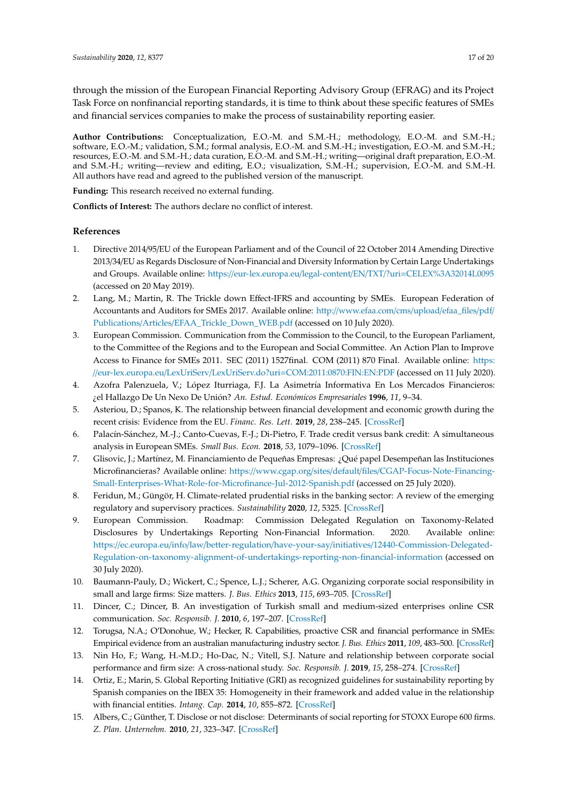through the mission of the European Financial Reporting Advisory Group (EFRAG) and its Project Task Force on nonfinancial reporting standards, it is time to think about these specific features of SMEs and financial services companies to make the process of sustainability reporting easier.

**Author Contributions:** Conceptualization, E.O.-M. and S.M.-H.; methodology, E.O.-M. and S.M.-H.; software, E.O.-M.; validation, S.M.; formal analysis, E.O.-M. and S.M.-H.; investigation, E.O.-M. and S.M.-H.; resources, E.O.-M. and S.M.-H.; data curation, E.O.-M. and S.M.-H.; writing—original draft preparation, E.O.-M. and S.M.-H.; writing—review and editing, E.O.; visualization, S.M.-H.; supervision, E.O.-M. and S.M.-H. All authors have read and agreed to the published version of the manuscript.

**Funding:** This research received no external funding.

**Conflicts of Interest:** The authors declare no conflict of interest.

# **References**

- <span id="page-16-0"></span>1. Directive 2014/95/EU of the European Parliament and of the Council of 22 October 2014 Amending Directive 2013/34/EU as Regards Disclosure of Non-Financial and Diversity Information by Certain Large Undertakings and Groups. Available online: https://eur-lex.europa.eu/legal-content/EN/TXT/?uri=[CELEX%3A32014L0095](https://eur-lex.europa.eu/legal-content/EN/TXT/?uri=CELEX%3A32014L0095) (accessed on 20 May 2019).
- <span id="page-16-1"></span>2. Lang, M.; Martin, R. The Trickle down Effect-IFRS and accounting by SMEs. European Federation of Accountants and Auditors for SMEs 2017. Available online: http://[www.efaa.com](http://www.efaa.com/cms/upload/efaa_files/pdf/Publications/Articles/EFAA_Trickle_Down_WEB.pdf)/cms/upload/efaa\_files/pdf/ Publications/Articles/[EFAA\\_Trickle\\_Down\\_WEB.pdf](http://www.efaa.com/cms/upload/efaa_files/pdf/Publications/Articles/EFAA_Trickle_Down_WEB.pdf) (accessed on 10 July 2020).
- <span id="page-16-2"></span>3. European Commission. Communication from the Commission to the Council, to the European Parliament, to the Committee of the Regions and to the European and Social Committee. An Action Plan to Improve Access to Finance for SMEs 2011. SEC (2011) 1527final. COM (2011) 870 Final. Available online: [https:](https://eur-lex.europa.eu/LexUriServ/LexUriServ.do?uri=COM:2011:0870:FIN:EN:PDF) //eur-lex.europa.eu/LexUriServ/LexUriServ.do?uri=[COM:2011:0870:FIN:EN:PDF](https://eur-lex.europa.eu/LexUriServ/LexUriServ.do?uri=COM:2011:0870:FIN:EN:PDF) (accessed on 11 July 2020).
- <span id="page-16-3"></span>4. Azofra Palenzuela, V.; López Iturriaga, F.J. La Asimetría Informativa En Los Mercados Financieros: ¿el Hallazgo De Un Nexo De Unión? *An. Estud. Económicos Empresariales* **1996**, *11*, 9–34.
- <span id="page-16-4"></span>5. Asteriou, D.; Spanos, K. The relationship between financial development and economic growth during the recent crisis: Evidence from the EU. *Financ. Res. Lett.* **2019**, *28*, 238–245. [\[CrossRef\]](http://dx.doi.org/10.1016/j.frl.2018.05.011)
- <span id="page-16-5"></span>6. Palacín-Sánchez, M.-J.; Canto-Cuevas, F.-J.; Di-Pietro, F. Trade credit versus bank credit: A simultaneous analysis in European SMEs. *Small Bus. Econ.* **2018**, *53*, 1079–1096. [\[CrossRef\]](http://dx.doi.org/10.1007/s11187-018-0101-x)
- <span id="page-16-6"></span>7. Glisovic, J.; Martínez, M. Financiamiento de Pequeñas Empresas: ¿Qué papel Desempeñan las Instituciones Microfinancieras? Available online: https://www.cgap.org/sites/default/files/[CGAP-Focus-Note-Financing-](https://www.cgap.org/sites/default/files/CGAP-Focus-Note-Financing-Small-Enterprises-What-Role-for-Microfinance-Jul-2012-Spanish.pdf)[Small-Enterprises-What-Role-for-Microfinance-Jul-2012-Spanish.pdf](https://www.cgap.org/sites/default/files/CGAP-Focus-Note-Financing-Small-Enterprises-What-Role-for-Microfinance-Jul-2012-Spanish.pdf) (accessed on 25 July 2020).
- <span id="page-16-7"></span>8. Feridun, M.; Güngör, H. Climate-related prudential risks in the banking sector: A review of the emerging regulatory and supervisory practices. *Sustainability* **2020**, *12*, 5325. [\[CrossRef\]](http://dx.doi.org/10.3390/su12135325)
- <span id="page-16-8"></span>9. European Commission. Roadmap: Commission Delegated Regulation on Taxonomy-Related Disclosures by Undertakings Reporting Non-Financial Information. 2020. Available online: https://ec.europa.eu/info/law/better-regulation/have-your-say/initiatives/[12440-Commission-Delegated-](https://ec.europa.eu/info/law/better-regulation/have-your-say/initiatives/12440-Commission-Delegated-Regulation-on-taxonomy-alignment-of-undertakings-reporting-non-financial-information)[Regulation-on-taxonomy-alignment-of-undertakings-reporting-non-financial-information](https://ec.europa.eu/info/law/better-regulation/have-your-say/initiatives/12440-Commission-Delegated-Regulation-on-taxonomy-alignment-of-undertakings-reporting-non-financial-information) (accessed on 30 July 2020).
- <span id="page-16-9"></span>10. Baumann-Pauly, D.; Wickert, C.; Spence, L.J.; Scherer, A.G. Organizing corporate social responsibility in small and large firms: Size matters. *J. Bus. Ethics* **2013**, *115*, 693–705. [\[CrossRef\]](http://dx.doi.org/10.1007/s10551-013-1827-7)
- 11. Dincer, C.; Dincer, B. An investigation of Turkish small and medium-sized enterprises online CSR communication. *Soc. Responsib. J.* **2010**, *6*, 197–207. [\[CrossRef\]](http://dx.doi.org/10.1108/17471111011051711)
- <span id="page-16-10"></span>12. Torugsa, N.A.; O'Donohue, W.; Hecker, R. Capabilities, proactive CSR and financial performance in SMEs: Empirical evidence from an australian manufacturing industry sector. *J. Bus. Ethics* **2011**, *109*, 483–500. [\[CrossRef\]](http://dx.doi.org/10.1007/s10551-011-1141-1)
- <span id="page-16-11"></span>13. Nin Ho, F.; Wang, H.-M.D.; Ho-Dac, N.; Vitell, S.J. Nature and relationship between corporate social performance and firm size: A cross-national study. *Soc. Responsib. J.* **2019**, *15*, 258–274. [\[CrossRef\]](http://dx.doi.org/10.1108/srj-02-2017-0025)
- <span id="page-16-12"></span>14. Ortiz, E.; Marin, S. Global Reporting Initiative (GRI) as recognized guidelines for sustainability reporting by Spanish companies on the IBEX 35: Homogeneity in their framework and added value in the relationship with financial entities. *Intang. Cap.* **2014**, *10*, 855–872. [\[CrossRef\]](http://dx.doi.org/10.3926/ic.492)
- <span id="page-16-13"></span>15. Albers, C.; Günther, T. Disclose or not disclose: Determinants of social reporting for STOXX Europe 600 firms. *Z. Plan. Unternehm.* **2010**, *21*, 323–347. [\[CrossRef\]](http://dx.doi.org/10.1007/s00187-010-0113-4)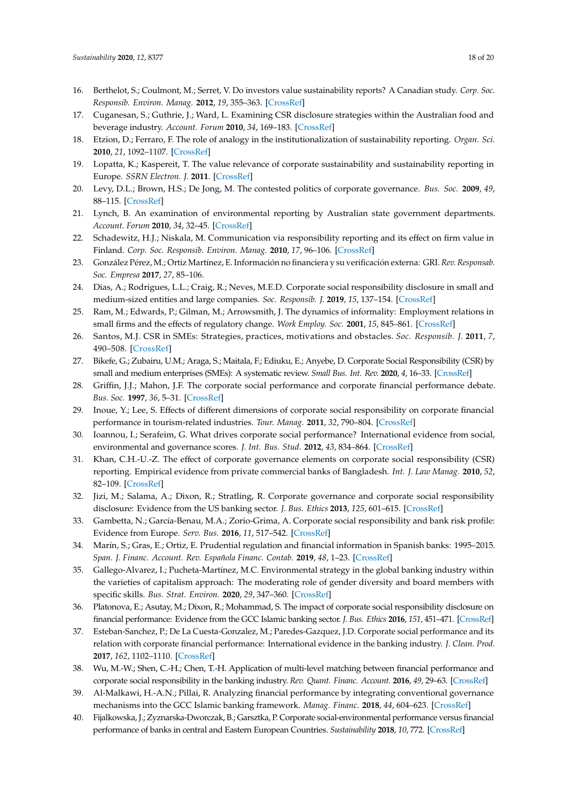- 16. Berthelot, S.; Coulmont, M.; Serret, V. Do investors value sustainability reports? A Canadian study. *Corp. Soc. Responsib. Environ. Manag.* **2012**, *19*, 355–363. [\[CrossRef\]](http://dx.doi.org/10.1002/csr.285)
- 17. Cuganesan, S.; Guthrie, J.; Ward, L. Examining CSR disclosure strategies within the Australian food and beverage industry. *Account. Forum* **2010**, *34*, 169–183. [\[CrossRef\]](http://dx.doi.org/10.1016/j.accfor.2010.07.001)
- 18. Etzion, D.; Ferraro, F. The role of analogy in the institutionalization of sustainability reporting. *Organ. Sci.* **2010**, *21*, 1092–1107. [\[CrossRef\]](http://dx.doi.org/10.1287/orsc.1090.0494)
- 19. Lopatta, K.; Kaspereit, T. The value relevance of corporate sustainability and sustainability reporting in Europe. *SSRN Electron. J.* **2011**. [\[CrossRef\]](http://dx.doi.org/10.2139/ssrn.1976224)
- 20. Levy, D.L.; Brown, H.S.; De Jong, M. The contested politics of corporate governance. *Bus. Soc.* **2009**, *49*, 88–115. [\[CrossRef\]](http://dx.doi.org/10.1177/0007650309345420)
- 21. Lynch, B. An examination of environmental reporting by Australian state government departments. *Account. Forum* **2010**, *34*, 32–45. [\[CrossRef\]](http://dx.doi.org/10.1016/j.accfor.2009.11.001)
- <span id="page-17-0"></span>22. Schadewitz, H.J.; Niskala, M. Communication via responsibility reporting and its effect on firm value in Finland. *Corp. Soc. Responsib. Environ. Manag.* **2010**, *17*, 96–106. [\[CrossRef\]](http://dx.doi.org/10.1002/csr.234)
- <span id="page-17-1"></span>23. González Pérez, M.; Ortiz Martínez, E. Información no financiera y su verificación externa: GRI. *Rev. Responsab. Soc. Empresa* **2017**, *27*, 85–106.
- <span id="page-17-2"></span>24. Dias, A.; Rodrigues, L.L.; Craig, R.; Neves, M.E.D. Corporate social responsibility disclosure in small and medium-sized entities and large companies. *Soc. Responsib. J.* **2019**, *15*, 137–154. [\[CrossRef\]](http://dx.doi.org/10.1108/SRJ-05-2017-0090)
- <span id="page-17-3"></span>25. Ram, M.; Edwards, P.; Gilman, M.; Arrowsmith, J. The dynamics of informality: Employment relations in small firms and the effects of regulatory change. *Work Employ. Soc.* **2001**, *15*, 845–861. [\[CrossRef\]](http://dx.doi.org/10.1177/095001701400438233)
- <span id="page-17-4"></span>26. Santos, M.J. CSR in SMEs: Strategies, practices, motivations and obstacles. *Soc. Responsib. J.* **2011**, *7*, 490–508. [\[CrossRef\]](http://dx.doi.org/10.1108/17471111111154581)
- <span id="page-17-5"></span>27. Bikefe, G.; Zubairu, U.M.; Araga, S.; Maitala, F.; Ediuku, E.; Anyebe, D. Corporate Social Responsibility (CSR) by small and medium enterprises (SMEs): A systematic review. *Small Bus. Int. Rev.* **2020**, *4*, 16–33. [\[CrossRef\]](http://dx.doi.org/10.26784/sbir.v4i1.243)
- <span id="page-17-6"></span>28. Griffin, J.J.; Mahon, J.F. The corporate social performance and corporate financial performance debate. *Bus. Soc.* **1997**, *36*, 5–31. [\[CrossRef\]](http://dx.doi.org/10.1177/000765039703600102)
- 29. Inoue, Y.; Lee, S. Effects of different dimensions of corporate social responsibility on corporate financial performance in tourism-related industries. *Tour. Manag.* **2011**, *32*, 790–804. [\[CrossRef\]](http://dx.doi.org/10.1016/j.tourman.2010.06.019)
- <span id="page-17-7"></span>30. Ioannou, I.; Serafeim, G. What drives corporate social performance? International evidence from social, environmental and governance scores. *J. Int. Bus. Stud.* **2012**, *43*, 834–864. [\[CrossRef\]](http://dx.doi.org/10.1057/jibs.2012.26)
- <span id="page-17-8"></span>31. Khan, C.H.-U.-Z. The effect of corporate governance elements on corporate social responsibility (CSR) reporting. Empirical evidence from private commercial banks of Bangladesh. *Int. J. Law Manag.* **2010**, *52*, 82–109. [\[CrossRef\]](http://dx.doi.org/10.1108/17542431011029406)
- 32. Jizi, M.; Salama, A.; Dixon, R.; Stratling, R. Corporate governance and corporate social responsibility disclosure: Evidence from the US banking sector. *J. Bus. Ethics* **2013**, *125*, 601–615. [\[CrossRef\]](http://dx.doi.org/10.1007/s10551-013-1929-2)
- <span id="page-17-9"></span>33. Gambetta, N.; García-Benau, M.A.; Zorio-Grima, A. Corporate social responsibility and bank risk profile: Evidence from Europe. *Serv. Bus.* **2016**, *11*, 517–542. [\[CrossRef\]](http://dx.doi.org/10.1007/s11628-016-0318-1)
- <span id="page-17-10"></span>34. Marín, S.; Gras, E.; Ortiz, E. Prudential regulation and financial information in Spanish banks: 1995–2015. *Span. J. Financ. Account. Rev. Española Financ. Contab.* **2019**, *48*, 1–23. [\[CrossRef\]](http://dx.doi.org/10.1080/02102412.2019.1608696)
- <span id="page-17-11"></span>35. Gallego-Alvarez, I.; Pucheta-Martínez, M.C. Environmental strategy in the global banking industry within the varieties of capitalism approach: The moderating role of gender diversity and board members with specific skills. *Bus. Strat. Environ.* **2020**, *29*, 347–360. [\[CrossRef\]](http://dx.doi.org/10.1002/bse.2368)
- <span id="page-17-12"></span>36. Platonova, E.; Asutay, M.; Dixon, R.; Mohammad, S. The impact of corporate social responsibility disclosure on financial performance: Evidence from the GCC Islamic banking sector. *J. Bus. Ethics* **2016**, *151*, 451–471. [\[CrossRef\]](http://dx.doi.org/10.1007/s10551-016-3229-0)
- 37. Esteban-Sanchez, P.; De La Cuesta-Gonzalez, M.; Paredes-Gazquez, J.D. Corporate social performance and its relation with corporate financial performance: International evidence in the banking industry. *J. Clean. Prod.* **2017**, *162*, 1102–1110. [\[CrossRef\]](http://dx.doi.org/10.1016/j.jclepro.2017.06.127)
- 38. Wu, M.-W.; Shen, C.-H.; Chen, T.-H. Application of multi-level matching between financial performance and corporate social responsibility in the banking industry. *Rev. Quant. Financ. Account.* **2016**, *49*, 29–63. [\[CrossRef\]](http://dx.doi.org/10.1007/s11156-016-0582-0)
- 39. Al-Malkawi, H.-A.N.; Pillai, R. Analyzing financial performance by integrating conventional governance mechanisms into the GCC Islamic banking framework. *Manag. Financ.* **2018**, *44*, 604–623. [\[CrossRef\]](http://dx.doi.org/10.1108/MF-05-2017-0200)
- 40. Fijalkowska, J.; Zyznarska-Dworczak, B.; Garsztka, P. Corporate social-environmental performance versus financial performance of banks in central and Eastern European Countries. *Sustainability* **2018**, *10*, 772. [\[CrossRef\]](http://dx.doi.org/10.3390/su10030772)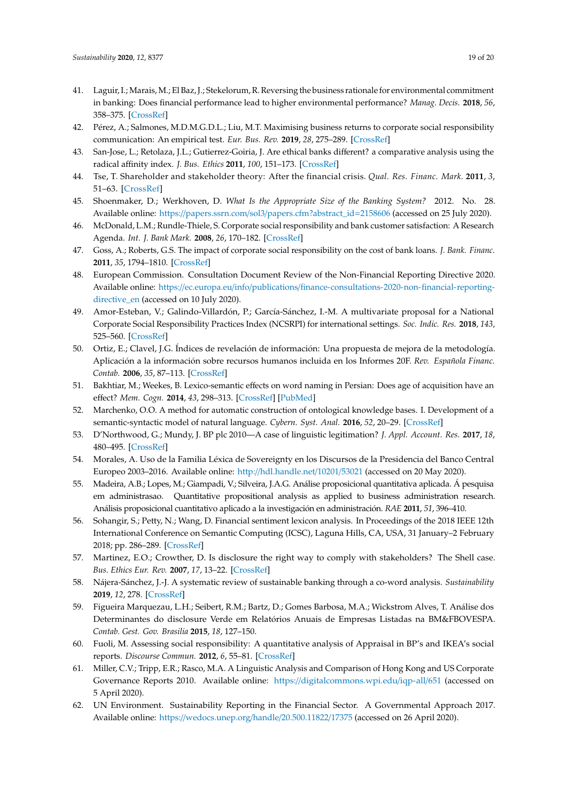- 41. Laguir, I.; Marais,M.; El Baz, J.; Stekelorum, R. Reversing the business rationale for environmental commitment in banking: Does financial performance lead to higher environmental performance? *Manag. Decis.* **2018**, *56*, 358–375. [\[CrossRef\]](http://dx.doi.org/10.1108/MD-12-2016-0890)
- 42. Pérez, A.; Salmones, M.D.M.G.D.L.; Liu, M.T. Maximising business returns to corporate social responsibility communication: An empirical test. *Eur. Bus. Rev.* **2019**, *28*, 275–289. [\[CrossRef\]](http://dx.doi.org/10.1111/beer.12221)
- <span id="page-18-0"></span>43. San-Jose, L.; Retolaza, J.L.; Gutierrez-Goiria, J. Are ethical banks different? a comparative analysis using the radical affinity index. *J. Bus. Ethics* **2011**, *100*, 151–173. [\[CrossRef\]](http://dx.doi.org/10.1007/s10551-011-0774-4)
- <span id="page-18-1"></span>44. Tse, T. Shareholder and stakeholder theory: After the financial crisis. *Qual. Res. Financ. Mark.* **2011**, *3*, 51–63. [\[CrossRef\]](http://dx.doi.org/10.1108/17554171111124612)
- <span id="page-18-2"></span>45. Shoenmaker, D.; Werkhoven, D. *What Is the Appropriate Size of the Banking System?* 2012. No. 28. Available online: https://papers.ssrn.com/sol3/[papers.cfm?abstract\\_id](https://papers.ssrn.com/sol3/papers.cfm?abstract_id=2158606)=2158606 (accessed on 25 July 2020).
- <span id="page-18-3"></span>46. McDonald, L.M.; Rundle-Thiele, S. Corporate social responsibility and bank customer satisfaction: A Research Agenda. *Int. J. Bank Mark.* **2008**, *26*, 170–182. [\[CrossRef\]](http://dx.doi.org/10.1108/02652320810864643)
- <span id="page-18-4"></span>47. Goss, A.; Roberts, G.S. The impact of corporate social responsibility on the cost of bank loans. *J. Bank. Financ.* **2011**, *35*, 1794–1810. [\[CrossRef\]](http://dx.doi.org/10.1016/j.jbankfin.2010.12.002)
- <span id="page-18-5"></span>48. European Commission. Consultation Document Review of the Non-Financial Reporting Directive 2020. Available online: https://ec.europa.eu/info/publications/[finance-consultations-2020-non-financial-reporting](https://ec.europa.eu/info/publications/finance-consultations-2020-non-financial-reporting-directive_en)[directive\\_en](https://ec.europa.eu/info/publications/finance-consultations-2020-non-financial-reporting-directive_en) (accessed on 10 July 2020).
- <span id="page-18-6"></span>49. Amor-Esteban, V.; Galindo-Villardón, P.; García-Sánchez, I.-M. A multivariate proposal for a National Corporate Social Responsibility Practices Index (NCSRPI) for international settings. *Soc. Indic. Res.* **2018**, *143*, 525–560. [\[CrossRef\]](http://dx.doi.org/10.1007/s11205-018-1997-x)
- <span id="page-18-7"></span>50. Ortiz, E.; Clavel, J.G. Índices de revelación de información: Una propuesta de mejora de la metodología. Aplicación a la información sobre recursos humanos incluida en los Informes 20F. *Rev. Española Financ. Contab.* **2006**, *35*, 87–113. [\[CrossRef\]](http://dx.doi.org/10.1080/02102412.2006.10779574)
- <span id="page-18-8"></span>51. Bakhtiar, M.; Weekes, B. Lexico-semantic effects on word naming in Persian: Does age of acquisition have an effect? *Mem. Cogn.* **2014**, *43*, 298–313. [\[CrossRef\]](http://dx.doi.org/10.3758/s13421-014-0472-4) [\[PubMed\]](http://www.ncbi.nlm.nih.gov/pubmed/25324046)
- <span id="page-18-9"></span>52. Marchenko, O.O. A method for automatic construction of ontological knowledge bases. I. Development of a semantic-syntactic model of natural language. *Cybern. Syst. Anal.* **2016**, *52*, 20–29. [\[CrossRef\]](http://dx.doi.org/10.1007/s10559-016-9795-4)
- <span id="page-18-10"></span>53. D'Northwood, G.; Mundy, J. BP plc 2010—A case of linguistic legitimation? *J. Appl. Account. Res.* **2017**, *18*, 480–495. [\[CrossRef\]](http://dx.doi.org/10.1108/JAAR-02-2016-0022)
- <span id="page-18-11"></span>54. Morales, A. Uso de la Familia Léxica de Sovereignty en los Discursos de la Presidencia del Banco Central Europeo 2003–2016. Available online: http://[hdl.handle.net](http://hdl.handle.net/10201/53021)/10201/53021 (accessed on 20 May 2020).
- <span id="page-18-12"></span>55. Madeira, A.B.; Lopes, M.; Giampadi, V.; Silveira, J.A.G. Análise proposicional quantitativa aplicada. Á pesquisa em administrasao. Quantitative propositional analysis as applied to business administration research. Análisis proposicional cuantitativo aplicado a la investigación en administración. *RAE* **2011**, *51*, 396–410.
- <span id="page-18-13"></span>56. Sohangir, S.; Petty, N.; Wang, D. Financial sentiment lexicon analysis. In Proceedings of the 2018 IEEE 12th International Conference on Semantic Computing (ICSC), Laguna Hills, CA, USA, 31 January–2 February 2018; pp. 286–289. [\[CrossRef\]](http://dx.doi.org/10.1109/icsc.2018.00052)
- <span id="page-18-14"></span>57. Martinez, E.O.; Crowther, D. Is disclosure the right way to comply with stakeholders? The Shell case. *Bus. Ethics Eur. Rev.* **2007**, *17*, 13–22. [\[CrossRef\]](http://dx.doi.org/10.1111/j.1467-8608.2008.00516.x)
- <span id="page-18-15"></span>58. Nájera-Sánchez, J.-J. A systematic review of sustainable banking through a co-word analysis. *Sustainability* **2019**, *12*, 278. [\[CrossRef\]](http://dx.doi.org/10.3390/su12010278)
- <span id="page-18-16"></span>59. Figueira Marquezau, L.H.; Seibert, R.M.; Bartz, D.; Gomes Barbosa, M.A.; Wickstrom Alves, T. Análise dos Determinantes do disclosure Verde em Relatórios Anuais de Empresas Listadas na BM&FBOVESPA. *Contab. Gest. Gov. Brasilia* **2015**, *18*, 127–150.
- <span id="page-18-17"></span>60. Fuoli, M. Assessing social responsibility: A quantitative analysis of Appraisal in BP's and IKEA's social reports. *Discourse Commun.* **2012**, *6*, 55–81. [\[CrossRef\]](http://dx.doi.org/10.1177/1750481311427788)
- <span id="page-18-18"></span>61. Miller, C.V.; Tripp, E.R.; Rasco, M.A. A Linguistic Analysis and Comparison of Hong Kong and US Corporate Governance Reports 2010. Available online: https://[digitalcommons.wpi.edu](https://digitalcommons.wpi.edu/iqp-all/651)/iqp-all/651 (accessed on 5 April 2020).
- <span id="page-18-19"></span>62. UN Environment. Sustainability Reporting in the Financial Sector. A Governmental Approach 2017. Available online: https://[wedocs.unep.org](https://wedocs.unep.org/handle/20.500.11822/17375)/handle/20.500.11822/17375 (accessed on 26 April 2020).